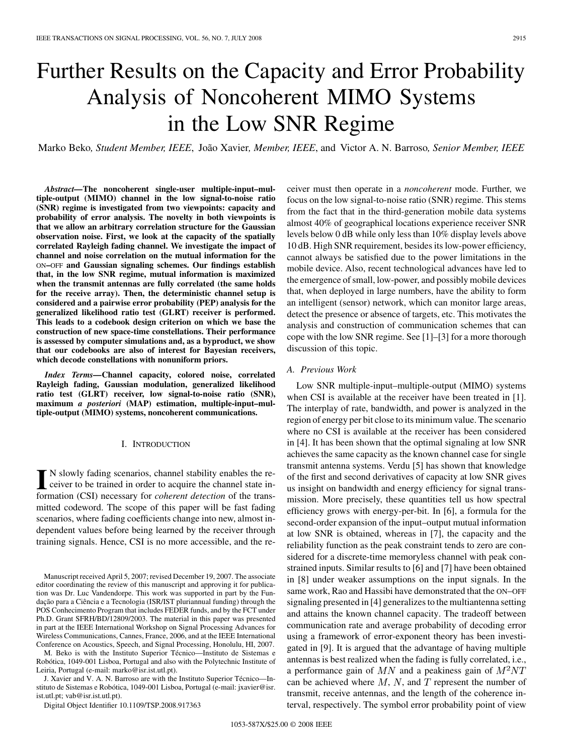# Further Results on the Capacity and Error Probability Analysis of Noncoherent MIMO Systems in the Low SNR Regime

Marko Beko*, Student Member, IEEE*, João Xavier*, Member, IEEE*, and Victor A. N. Barroso*, Senior Member, IEEE*

*Abstract—***The noncoherent single-user multiple-input–multiple-output (MIMO) channel in the low signal-to-noise ratio (SNR) regime is investigated from two viewpoints: capacity and probability of error analysis. The novelty in both viewpoints is that we allow an arbitrary correlation structure for the Gaussian observation noise. First, we look at the capacity of the spatially correlated Rayleigh fading channel. We investigate the impact of channel and noise correlation on the mutual information for the** ON**–**OFF **and Gaussian signaling schemes. Our findings establish that, in the low SNR regime, mutual information is maximized when the transmit antennas are fully correlated (the same holds for the receive array). Then, the deterministic channel setup is considered and a pairwise error probability (PEP) analysis for the generalized likelihood ratio test (GLRT) receiver is performed. This leads to a codebook design criterion on which we base the construction of new space-time constellations. Their performance is assessed by computer simulations and, as a byproduct, we show that our codebooks are also of interest for Bayesian receivers, which decode constellations with nonuniform priors.**

*Index Terms—***Channel capacity, colored noise, correlated Rayleigh fading, Gaussian modulation, generalized likelihood ratio test (GLRT) receiver, low signal-to-noise ratio (SNR), maximum** *a posteriori* **(MAP) estimation, multiple-input–multiple-output (MIMO) systems, noncoherent communications.**

#### I. INTRODUCTION

In Slowly fading scenarios, channel stability enables the re-<br>ceiver to be trained in order to acquire the channel state in-<br>formation (CSI) personary for schement detaction of the trans N slowly fading scenarios, channel stability enables the reformation (CSI) necessary for *coherent detection* of the transmitted codeword. The scope of this paper will be fast fading scenarios, where fading coefficients change into new, almost independent values before being learned by the receiver through training signals. Hence, CSI is no more accessible, and the re-

M. Beko is with the Instituto Superior Técnico—Instituto de Sistemas e Robótica, 1049-001 Lisboa, Portugal and also with the Polytechnic Institute of Leiria, Portugal (e-mail: marko@isr.ist.utl.pt).

J. Xavier and V. A. N. Barroso are with the Instituto Superior Técnico—Instituto de Sistemas e Robótica, 1049-001 Lisboa, Portugal (e-mail: jxavier@isr. ist.utl.pt; vab@isr.ist.utl.pt).

Digital Object Identifier 10.1109/TSP.2008.917363

ceiver must then operate in a *noncoherent* mode. Further, we focus on the low signal-to-noise ratio (SNR) regime. This stems from the fact that in the third-generation mobile data systems almost 40% of geographical locations experience receiver SNR levels below 0 dB while only less than 10% display levels above 10 dB. High SNR requirement, besides its low-power efficiency, cannot always be satisfied due to the power limitations in the mobile device. Also, recent technological advances have led to the emergence of small, low-power, and possibly mobile devices that, when deployed in large numbers, have the ability to form an intelligent (sensor) network, which can monitor large areas, detect the presence or absence of targets, etc. This motivates the analysis and construction of communication schemes that can cope with the low SNR regime. See [1]–[3] for a more thorough discussion of this topic.

## *A. Previous Work*

Low SNR multiple-input–multiple-output (MIMO) systems when CSI is available at the receiver have been treated in [1]. The interplay of rate, bandwidth, and power is analyzed in the region of energy per bit close to its minimum value. The scenario where no CSI is available at the receiver has been considered in [4]. It has been shown that the optimal signaling at low SNR achieves the same capacity as the known channel case for single transmit antenna systems. Verdu [5] has shown that knowledge of the first and second derivatives of capacity at low SNR gives us insight on bandwidth and energy efficiency for signal transmission. More precisely, these quantities tell us how spectral efficiency grows with energy-per-bit. In [6], a formula for the second-order expansion of the input–output mutual information at low SNR is obtained, whereas in [7], the capacity and the reliability function as the peak constraint tends to zero are considered for a discrete-time memoryless channel with peak constrained inputs. Similar results to [6] and [7] have been obtained in [8] under weaker assumptions on the input signals. In the same work, Rao and Hassibi have demonstrated that the ON–OFF signaling presented in [4] generalizes to the multiantenna setting and attains the known channel capacity. The tradeoff between communication rate and average probability of decoding error using a framework of error-exponent theory has been investigated in [9]. It is argued that the advantage of having multiple antennas is best realized when the fading is fully correlated, i.e., a performance gain of  $MN$  and a peakiness gain of  $M^2NT$ can be achieved where  $M$ ,  $N$ , and  $T$  represent the number of transmit, receive antennas, and the length of the coherence interval, respectively. The symbol error probability point of view

Manuscript received April 5, 2007; revised December 19, 2007. The associate editor coordinating the review of this manuscript and approving it for publication was Dr. Luc Vandendorpe. This work was supported in part by the Fundação para a Ciência e a Tecnologia (ISR/IST pluriannual funding) through the POS Conhecimento Program that includes FEDER funds, and by the FCT under Ph.D. Grant SFRH/BD/12809/2003. The material in this paper was presented in part at the IEEE International Workshop on Signal Processing Advances for Wireless Communications, Cannes, France, 2006, and at the IEEE International Conference on Acoustics, Speech, and Signal Processing, Honolulu, HI, 2007.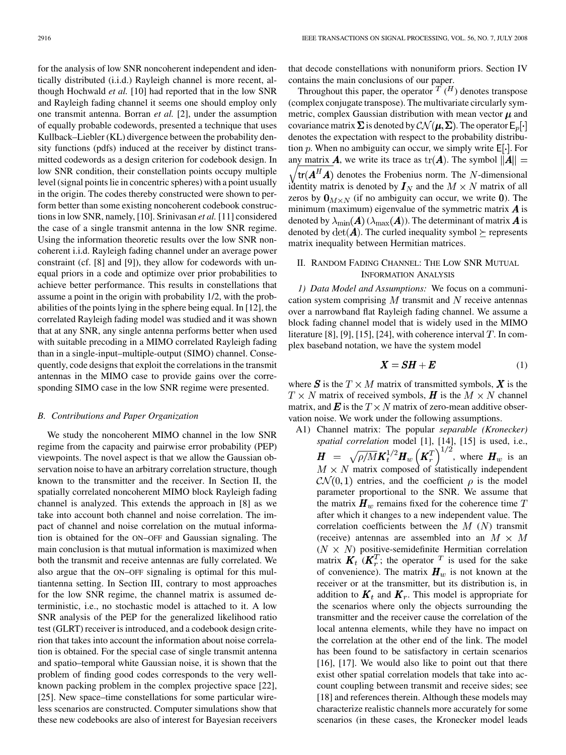for the analysis of low SNR noncoherent independent and identically distributed (i.i.d.) Rayleigh channel is more recent, although Hochwald *et al.* [10] had reported that in the low SNR and Rayleigh fading channel it seems one should employ only one transmit antenna. Borran *et al.* [2], under the assumption of equally probable codewords, presented a technique that uses Kullback–Liebler (KL) divergence between the probability density functions (pdfs) induced at the receiver by distinct transmitted codewords as a design criterion for codebook design. In low SNR condition, their constellation points occupy multiple level (signal points lie in concentric spheres) with a point usually in the origin. The codes thereby constructed were shown to perform better than some existing noncoherent codebook constructions in low SNR, namely, [10]. Srinivasan *et al.* [11] considered the case of a single transmit antenna in the low SNR regime. Using the information theoretic results over the low SNR noncoherent i.i.d. Rayleigh fading channel under an average power constraint (cf. [8] and [9]), they allow for codewords with unequal priors in a code and optimize over prior probabilities to achieve better performance. This results in constellations that assume a point in the origin with probability 1/2, with the probabilities of the points lying in the sphere being equal. In [12], the correlated Rayleigh fading model was studied and it was shown that at any SNR, any single antenna performs better when used with suitable precoding in a MIMO correlated Rayleigh fading than in a single-input–multiple-output (SIMO) channel. Consequently, code designs that exploit the correlations in the transmit antennas in the MIMO case to provide gains over the corresponding SIMO case in the low SNR regime were presented.

#### *B. Contributions and Paper Organization*

We study the noncoherent MIMO channel in the low SNR regime from the capacity and pairwise error probability (PEP) viewpoints. The novel aspect is that we allow the Gaussian observation noise to have an arbitrary correlation structure, though known to the transmitter and the receiver. In Section II, the spatially correlated noncoherent MIMO block Rayleigh fading channel is analyzed. This extends the approach in [8] as we take into account both channel and noise correlation. The impact of channel and noise correlation on the mutual information is obtained for the ON–OFF and Gaussian signaling. The main conclusion is that mutual information is maximized when both the transmit and receive antennas are fully correlated. We also argue that the ON–OFF signaling is optimal for this multiantenna setting. In Section III, contrary to most approaches for the low SNR regime, the channel matrix is assumed deterministic, i.e., no stochastic model is attached to it. A low SNR analysis of the PEP for the generalized likelihood ratio test (GLRT) receiver is introduced, and a codebook design criterion that takes into account the information about noise correlation is obtained. For the special case of single transmit antenna and spatio–temporal white Gaussian noise, it is shown that the problem of finding good codes corresponds to the very wellknown packing problem in the complex projective space [22], [25]. New space–time constellations for some particular wireless scenarios are constructed. Computer simulations show that these new codebooks are also of interest for Bayesian receivers

that decode constellations with nonuniform priors. Section IV contains the main conclusions of our paper.

Throughout this paper, the operator  $T (H)$  denotes transpose (complex conjugate transpose). The multivariate circularly symmetric, complex Gaussian distribution with mean vector  $\mu$  and covariance matrix  $\Sigma$  is denoted by  $\mathcal{CN}(\boldsymbol{\mu}, \Sigma)$ . The operator  $\mathsf{E}_p[\cdot]$ denotes the expectation with respect to the probability distribution p. When no ambiguity can occur, we simply write  $E[\cdot]$ . For any matrix **A**, we write its trace as  $tr(A)$ . The symbol  $||A|| =$  $\sqrt{\text{tr}(\boldsymbol{A}^H\boldsymbol{A})}$  denotes the Frobenius norm. The N-dimensional identity matrix is denoted by  $I_N$  and the  $M \times N$  matrix of all zeros by  $\mathbf{0}_{M \times N}$  (if no ambiguity can occur, we write 0). The minimum (maximum) eigenvalue of the symmetric matrix  $\boldsymbol{A}$  is denoted by  $\lambda_{\min}(A)$  ( $\lambda_{\max}(A)$ ). The determinant of matrix A is denoted by  $\det(A)$ . The curled inequality symbol  $\succeq$  represents matrix inequality between Hermitian matrices.

## II. RANDOM FADING CHANNEL: THE LOW SNR MUTUAL INFORMATION ANALYSIS

*1) Data Model and Assumptions:* We focus on a communication system comprising  $M$  transmit and  $N$  receive antennas over a narrowband flat Rayleigh fading channel. We assume a block fading channel model that is widely used in the MIMO literature [8], [9], [15], [24], with coherence interval  $T$ . In complex baseband notation, we have the system model

$$
X = SH + E \tag{1}
$$

where S is the  $T \times M$  matrix of transmitted symbols, X is the  $T \times N$  matrix of received symbols, H is the  $M \times N$  channel matrix, and  $\mathbf{E}$  is the  $T \times N$  matrix of zero-mean additive observation noise. We work under the following assumptions.

- A1) Channel matrix: The popular *separable (Kronecker) spatial correlation* model [1], [14], [15] is used, i.e.,
	- , where  $H_w$  is an  $M \times N$  matrix composed of statistically independent  $\mathcal{CN}(0,1)$  entries, and the coefficient  $\rho$  is the model parameter proportional to the SNR. We assume that the matrix  $\boldsymbol{H}_w$  remains fixed for the coherence time T after which it changes to a new independent value. The correlation coefficients between the  $M(N)$  transmit (receive) antennas are assembled into an  $M \times M$  $(N \times N)$  positive-semidefinite Hermitian correlation matrix  $\boldsymbol{K}_t \boldsymbol{K}_r^T$ ; the operator  $\boldsymbol{K}_t$  is used for the sake of convenience). The matrix  $H_w$  is not known at the receiver or at the transmitter, but its distribution is, in addition to  $K_t$  and  $K_r$ . This model is appropriate for the scenarios where only the objects surrounding the transmitter and the receiver cause the correlation of the local antenna elements, while they have no impact on the correlation at the other end of the link. The model has been found to be satisfactory in certain scenarios [16], [17]. We would also like to point out that there exist other spatial correlation models that take into account coupling between transmit and receive sides; see [18] and references therein. Although these models may characterize realistic channels more accurately for some scenarios (in these cases, the Kronecker model leads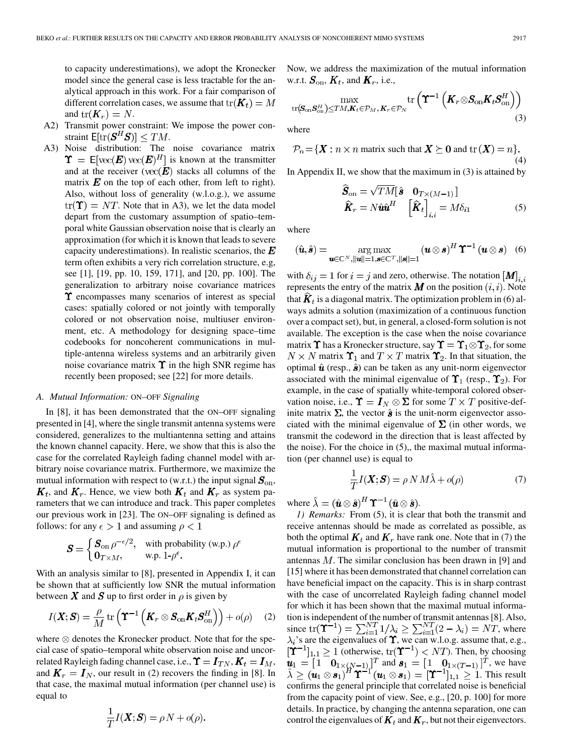to capacity underestimations), we adopt the Kronecker model since the general case is less tractable for the analytical approach in this work. For a fair comparison of different correlation cases, we assume that  $tr(\boldsymbol{K}_t) = M$ and  $tr(K_r) = N$ .

- A2) Transmit power constraint: We impose the power constraint  $E[\text{tr}(\mathbf{S}^H\mathbf{S})] \leq TM$ .
- A3) Noise distribution: The noise covariance matrix  $\Upsilon = \mathsf{E}[{\rm vec}(\boldsymbol{E}){\rm vec}(\boldsymbol{E})^H]$  is known at the transmitter and at the receiver ( $\text{vec}(\mathbf{E})$  stacks all columns of the matrix  $E$  on the top of each other, from left to right). Also, without loss of generality (w.l.o.g.), we assume  $tr(\mathbf{\Upsilon}) = NT$ . Note that in A3), we let the data model depart from the customary assumption of spatio–temporal white Gaussian observation noise that is clearly an approximation (for which it is known that leads to severe capacity underestimations). In realistic scenarios, the  $\bm{E}$ term often exhibits a very rich correlation structure, e.g, see [1], [19, pp. 10, 159, 171], and [20, pp. 100]. The generalization to arbitrary noise covariance matrices  $\Upsilon$  encompasses many scenarios of interest as special cases: spatially colored or not jointly with temporally colored or not observation noise, multiuser environment, etc. A methodology for designing space–time codebooks for noncoherent communications in multiple-antenna wireless systems and an arbitrarily given noise covariance matrix  $\Upsilon$  in the high SNR regime has recently been proposed; see [22] for more details.

#### *A. Mutual Information:* ON*–*OFF *Signaling*

In [8], it has been demonstrated that the ON–OFF signaling presented in [4], where the single transmit antenna systems were considered, generalizes to the multiantenna setting and attains the known channel capacity. Here, we show that this is also the case for the correlated Rayleigh fading channel model with arbitrary noise covariance matrix. Furthermore, we maximize the mutual information with respect to (w.r.t.) the input signal  $S_{on}$ ,  $\mathbf{K}_t$ , and  $\mathbf{K}_r$ . Hence, we view both  $\mathbf{K}_t$  and  $\mathbf{K}_r$  as system parameters that we can introduce and track. This paper completes our previous work in [23]. The ON–OFF signaling is defined as follows: for any  $\epsilon > 1$  and assuming  $\rho < 1$ 

$$
\mathbf{S} = \begin{cases} \mathbf{S}_{\text{on}} \, \rho^{-\epsilon/2}, & \text{with probability (w.p.) } \rho^{\epsilon} \\ \mathbf{0}_{T \times M}, & \text{w.p. } 1 - \rho^{\epsilon}. \end{cases}
$$

With an analysis similar to [8], presented in Appendix I, it can be shown that at sufficiently low SNR the mutual information between X and S up to first order in  $\rho$  is given by

$$
I(\boldsymbol{X};\boldsymbol{S}) = \frac{\rho}{M} \operatorname{tr} \left( \boldsymbol{\Upsilon}^{-1} \left( \boldsymbol{K}_r \otimes \boldsymbol{S}_{\text{on}} \boldsymbol{K}_t \boldsymbol{S}_{\text{on}}^H \right) \right) + o(\rho) \quad (2)
$$

where  $\otimes$  denotes the Kronecker product. Note that for the special case of spatio–temporal white observation noise and uncorrelated Rayleigh fading channel case, i.e.,  $\Upsilon = I_{TN}$ ,  $K_t = I_M$ , and  $K_r = I_N$ , our result in (2) recovers the finding in [8]. In that case, the maximal mutual information (per channel use) is equal to

$$
\frac{1}{T}I(\boldsymbol{X};\boldsymbol{S}) = \rho N + o(\rho)
$$

Now, we address the maximization of the mutual information w.r.t.  $S_{\text{on}}$ ,  $K_t$ , and  $K_r$ , i.e.,

$$
\max_{\substack{\text{tr}(\mathbf{S}_{\text{on}}\mathbf{S}_{\text{on}}^H)\leq TM,\mathbf{K}_t\in\mathcal{P}_M,\mathbf{K}_r\in\mathcal{P}_N}}\text{tr}\left(\boldsymbol{\Upsilon}^{-1}\left(\mathbf{K}_r\otimes\mathbf{S}_{\text{on}}\mathbf{K}_t\mathbf{S}_{\text{on}}^H\right)\right) \tag{3}
$$

where

$$
\mathcal{P}_n = \{ \mathbf{X} : n \times n \text{ matrix such that } \mathbf{X} \succeq \mathbf{0} \text{ and } \text{tr}(\mathbf{X}) = n \}. \tag{4}
$$

In Appendix II, we show that the maximum in  $(3)$  is attained by

$$
\widehat{\mathbf{S}}_{\text{on}} = \sqrt{TM} \begin{bmatrix} \hat{\mathbf{s}} & \mathbf{0}_{T \times (M-1)} \end{bmatrix}
$$

$$
\widehat{\mathbf{K}}_{r} = N \hat{\mathbf{u}} \hat{\mathbf{u}}^{H} \quad \left[ \widehat{\mathbf{K}}_{t} \right]_{i,i} = M \delta_{i1}
$$
(5)

where

$$
(\hat{\boldsymbol{u}}, \hat{\boldsymbol{s}}) = \underset{\boldsymbol{u} \in \mathbb{C}^N, ||\boldsymbol{u}|| = 1, \boldsymbol{s} \in \mathbb{C}^T, ||\boldsymbol{s}|| = 1}{\arg \max} (\boldsymbol{u} \otimes \boldsymbol{s})^H \boldsymbol{\Upsilon}^{-1} (\boldsymbol{u} \otimes \boldsymbol{s}) \quad (6)
$$

with  $\delta_{ij} = 1$  for  $i = j$  and zero, otherwise. The notation  $\left[\mathbf{M}\right]_{i,i}$ represents the entry of the matrix  $\boldsymbol{M}$  on the position  $(i, i)$ . Note that  $\hat{K}_t$  is a diagonal matrix. The optimization problem in (6) always admits a solution (maximization of a continuous function over a compact set), but, in general, a closed-form solution is not available. The exception is the case when the noise covariance matrix  $\Upsilon$  has a Kronecker structure, say  $\Upsilon = \Upsilon_1 \otimes \Upsilon_2$ , for some  $N \times N$  matrix  $\Upsilon_1$  and  $T \times T$  matrix  $\Upsilon_2$ . In that situation, the optimal  $\hat{u}$  (resp.,  $\hat{s}$ ) can be taken as any unit-norm eigenvector associated with the minimal eigenvalue of  $\Upsilon_1$  (resp.,  $\Upsilon_2$ ). For example, in the case of spatially white-temporal colored observation noise, i.e.,  $\Upsilon = I_N \otimes \Sigma$  for some  $T \times T$  positive-definite matrix  $\Sigma$ , the vector  $\hat{\boldsymbol{s}}$  is the unit-norm eigenvector associated with the minimal eigenvalue of  $\Sigma$  (in other words, we transmit the codeword in the direction that is least affected by the noise). For the choice in (5),, the maximal mutual information (per channel use) is equal to

$$
\frac{1}{T}I(\boldsymbol{X};\boldsymbol{S}) = \rho N M \hat{\lambda} + o(\rho) \tag{7}
$$

where  $\hat{\lambda} = (\hat{\boldsymbol{u}} \otimes \hat{\boldsymbol{s}})^H \boldsymbol{\Upsilon}^{-1} (\hat{\boldsymbol{u}} \otimes \hat{\boldsymbol{s}}).$ 

*1) Remarks:* From (5), it is clear that both the transmit and receive antennas should be made as correlated as possible, as both the optimal  $K_t$  and  $K_r$  have rank one. Note that in (7) the mutual information is proportional to the number of transmit antennas  $M$ . The similar conclusion has been drawn in [9] and [15] where it has been demonstrated that channel correlation can have beneficial impact on the capacity. This is in sharp contrast with the case of uncorrelated Rayleigh fading channel model for which it has been shown that the maximal mutual information is independent of the number of transmit antennas [8]. Also, since  $tr(\mathbf{\hat{T}}^{-1}) = \sum_{i=1}^{N} 1/\lambda_i \ge \sum_{i=1}^{N} (2 - \lambda_i) = NT$ , where 's are the eigenvalues of  $\Upsilon$ , we can w.l.o.g. assume that, e.g., (otherwise,  $tr(\mathbf{\hat{T}}^{-1}) < NT$ ). Then, by choosing and  $\mathbf{s}_1 = \begin{bmatrix} 1 & \mathbf{0}_{1 \times (T-1)} \end{bmatrix}^T$ , we have . This result confirms the general principle that correlated noise is beneficial from the capacity point of view. See, e.g., [20, p. 100] for more details. In practice, by changing the antenna separation, one can control the eigenvalues of  $\mathbf{K}_t$  and  $\mathbf{K}_r$ , but not their eigenvectors.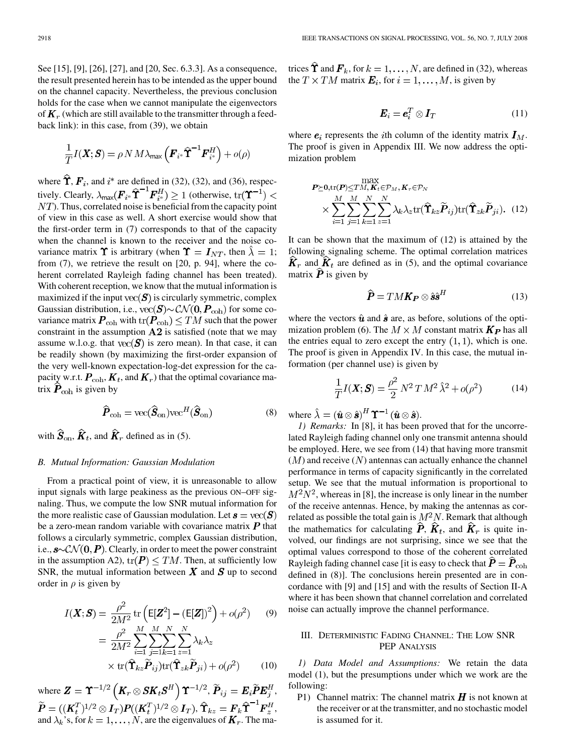See [15], [9], [26], [27], and [20, Sec. 6.3.3]. As a consequence, the result presented herein has to be intended as the upper bound on the channel capacity. Nevertheless, the previous conclusion holds for the case when we cannot manipulate the eigenvectors of  $K_r$  (which are still available to the transmitter through a feedback link): in this case, from (39), we obtain

$$
\frac{1}{T}I(\boldsymbol{X};\boldsymbol{S}) = \rho N M \lambda_{\text{max}} \left( \boldsymbol{F}_{i^*} \hat{\boldsymbol{\Upsilon}}^{-1} \boldsymbol{F}_{i^*}^H \right) + o(\rho)
$$

where  $\hat{\Upsilon}$ ,  $\mathbf{F}_i$ , and  $i^*$  are defined in (32), (32), and (36), respectively. Clearly,  $\lambda_{\max}(\boldsymbol{F}_{i^*}\widehat{\boldsymbol{\Upsilon}}^{-1}\boldsymbol{F}_{i^*}^H) \geq 1$  (otherwise,  $\text{tr}(\boldsymbol{\Upsilon}^{-1})$  <  $NT$ ). Thus, correlated noise is beneficial from the capacity point of view in this case as well. A short exercise would show that the first-order term in (7) corresponds to that of the capacity when the channel is known to the receiver and the noise covariance matrix  $\Upsilon$  is arbitrary (when  $\Upsilon = I_{NT}$ , then  $\hat{\lambda} = 1$ ; from (7), we retrieve the result on [20, p. 94], where the coherent correlated Rayleigh fading channel has been treated). With coherent reception, we know that the mutual information is maximized if the input  $\text{vec}(\mathbf{S})$  is circularly symmetric, complex Gaussian distribution, i.e.,  $\text{vec}(\textbf{S}) \sim \mathcal{CN}(\textbf{0},\textbf{P}_{\text{coh}})$  for some covariance matrix  $\textbf{P}_{\text{coh}}$  with  $\text{tr}(\textbf{P}_{\text{coh}}) \leq TM$  such that the power constraint in the assumption  $A2$  is satisfied (note that we may assume w.l.o.g. that  $vec(\mathbf{S})$  is zero mean). In that case, it can be readily shown (by maximizing the first-order expansion of the very well-known expectation-log-det expression for the capacity w.r.t.  $\textbf{\textit{P}}_{\text{coh}}, \textbf{\textit{K}}_t$ , and  $\textbf{\textit{K}}_r$ ) that the optimal covariance matrix  $\hat{\boldsymbol{P}}_{\text{coh}}$  is given by

$$
\widehat{\boldsymbol{P}}_{\text{coh}} = \text{vec}(\widehat{\boldsymbol{S}}_{\text{on}}) \text{vec}^H(\widehat{\boldsymbol{S}}_{\text{on}})
$$
(8)

with  $\hat{\mathbf{S}}_{on}$ ,  $\hat{\mathbf{K}}_t$ , and  $\hat{\mathbf{K}}_r$  defined as in (5).

#### *B. Mutual Information: Gaussian Modulation*

From a practical point of view, it is unreasonable to allow input signals with large peakiness as the previous ON–OFF signaling. Thus, we compute the low SNR mutual information for the more realistic case of Gaussian modulation. Let  $s = \text{vec}(\mathbf{S})$ be a zero-mean random variable with covariance matrix  $P$  that follows a circularly symmetric, complex Gaussian distribution, i.e.,  $s \sim \mathcal{CN}(\mathbf{0}, P)$ . Clearly, in order to meet the power constraint in the assumption A2),  $tr(\mathbf{P}) \leq TM$ . Then, at sufficiently low SNR, the mutual information between  $X$  and  $S$  up to second order in  $\rho$  is given by

$$
I(\boldsymbol{X};\boldsymbol{S}) = \frac{\rho^2}{2M^2} \operatorname{tr} \left( \mathbb{E}[\boldsymbol{Z}^2] - (\mathbb{E}[\boldsymbol{Z}])^2 \right) + o(\rho^2) \qquad (9)
$$

$$
= \frac{\rho^2}{2M^2} \sum_{i=1}^M \sum_{j=1}^M \sum_{z=1}^N \lambda_k \lambda_z
$$

$$
\times \operatorname{tr}(\widehat{\mathbf{T}}_{kz} \widetilde{\boldsymbol{P}}_{ij}) \operatorname{tr}(\widehat{\mathbf{T}}_{zk} \widetilde{\boldsymbol{P}}_{ji}) + o(\rho^2) \qquad (10)
$$

where  $\boldsymbol{Z} = \boldsymbol{\Upsilon}^{-1/2} \left( \boldsymbol{K}_r \otimes \boldsymbol{SK}_t \boldsymbol{S}^H \right) \boldsymbol{\Upsilon}^{-1/2}, \ \widetilde{\boldsymbol{P}}_{ij} = \boldsymbol{E}_i \widetilde{\boldsymbol{P}} \boldsymbol{E}_j^H,$ ,  $\boldsymbol{\Upsilon}_{kz} = \boldsymbol{F}_k \boldsymbol{\Upsilon}^{-\top} \boldsymbol{F}_z^H,$ and  $\lambda_k$ 's, for  $k = 1, \ldots, N$ , are the eigenvalues of  $\boldsymbol{K}_r$ . The matrices  $\hat{\Upsilon}$  and  $\mathbf{F}_k$ , for  $k = 1, \dots, N$ , are defined in (32), whereas the  $T \times TM$  matrix  $\mathbf{E}_i$ , for  $i = 1, ..., M$ , is given by

$$
\boldsymbol{E}_i = \boldsymbol{e}_i^T \otimes \boldsymbol{I}_T \tag{11}
$$

where  $e_i$  represents the *i*th column of the identity matrix  $I_M$ . The proof is given in Appendix III. We now address the optimization problem

$$
\mathbf{P} \succeq \mathbf{0}, \text{tr}(\mathbf{P}) \leq TM, \mathbf{K}_t \in \mathcal{P}_M, \mathbf{K}_r \in \mathcal{P}_N
$$
\n
$$
\times \sum_{i=1}^M \sum_{j=1}^M \sum_{k=1}^N \sum_{z=1}^N \lambda_k \lambda_z \text{tr}(\hat{\mathbf{T}}_{kz} \tilde{\mathbf{P}}_{ij}) \text{tr}(\hat{\mathbf{T}}_{zk} \tilde{\mathbf{P}}_{ji}). \quad (12)
$$

It can be shown that the maximum of (12) is attained by the following signaling scheme. The optimal correlation matrices  $\hat{K}_r$  and  $\hat{K}_t$  are defined as in (5), and the optimal covariance matrix  $\hat{P}$  is given by

$$
\widehat{\boldsymbol{P}} = T M \boldsymbol{K} \boldsymbol{P} \otimes \hat{\boldsymbol{s}} \hat{\boldsymbol{s}}^H \tag{13}
$$

where the vectors  $\hat{u}$  and  $\hat{s}$  are, as before, solutions of the optimization problem (6). The  $M \times M$  constant matrix  $\mathbf{K}_{\mathbf{P}}$  has all the entries equal to zero except the entry  $(1, 1)$ , which is one. The proof is given in Appendix IV. In this case, the mutual information (per channel use) is given by

$$
\frac{1}{T}I(\mathbf{X}; \mathbf{S}) = \frac{\rho^2}{2} N^2 T M^2 \hat{\lambda}^2 + o(\rho^2)
$$
 (14)

where  $\hat{\lambda} = (\hat{\boldsymbol{u}} \otimes \hat{\boldsymbol{s}})^H \boldsymbol{\Upsilon}^{-1} (\hat{\boldsymbol{u}} \otimes \hat{\boldsymbol{s}}).$ 

*1) Remarks:* In [8], it has been proved that for the uncorrelated Rayleigh fading channel only one transmit antenna should be employed. Here, we see from (14) that having more transmit  $(M)$  and receive  $(N)$  antennas can actually enhance the channel performance in terms of capacity significantly in the correlated setup. We see that the mutual information is proportional to  $M^2N^2$ , whereas in [8], the increase is only linear in the number of the receive antennas. Hence, by making the antennas as correlated as possible the total gain is  $M^2N$ . Remark that although the mathematics for calculating  $\hat{P}$ ,  $\hat{K}_t$ , and  $\hat{K}_r$  is quite involved, our findings are not surprising, since we see that the optimal values correspond to those of the coherent correlated Rayleigh fading channel case [it is easy to check that  $\hat{\boldsymbol{P}} = \hat{\boldsymbol{P}}_{\text{coh}}$ defined in (8)]. The conclusions herein presented are in concordance with [9] and [15] and with the results of Section II-A where it has been shown that channel correlation and correlated noise can actually improve the channel performance.

# III. DETERMINISTIC FADING CHANNEL: THE LOW SNR PEP ANALYSIS

*1) Data Model and Assumptions:* We retain the data model (1), but the presumptions under which we work are the following:

P1) Channel matrix: The channel matrix  $\boldsymbol{H}$  is not known at the receiver or at the transmitter, and no stochastic model is assumed for it.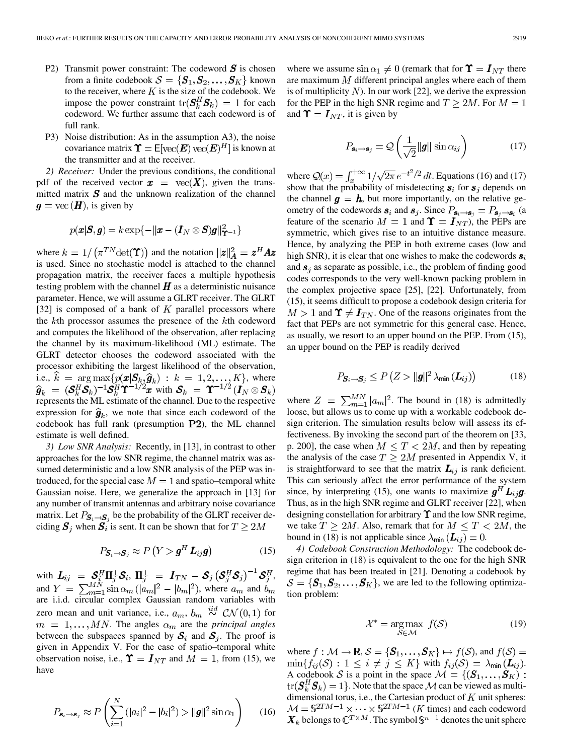- P2) Transmit power constraint: The codeword  $S$  is chosen from a finite codebook  $S = \{S_1, S_2, \ldots, S_K\}$  known to the receiver, where  $K$  is the size of the codebook. We impose the power constraint  $\text{tr}(\boldsymbol{S}_k^H \boldsymbol{S}_k) = 1$  for each codeword. We further assume that each codeword is of full rank.
- P3) Noise distribution: As in the assumption A3), the noise covariance matrix  $\Upsilon = E[\text{vec}(\boldsymbol{E}) \text{vec}(\boldsymbol{E})^H]$  is known at the transmitter and at the receiver.

*2) Receiver:* Under the previous conditions, the conditional pdf of the received vector  $\mathbf{x} = \text{vec}(X)$ , given the transmitted matrix  $S$  and the unknown realization of the channel  $q = \text{vec}(\boldsymbol{H})$ , is given by

$$
p(\boldsymbol{x}|\boldsymbol{S},\boldsymbol{g})=k\exp\{-||\boldsymbol{x}-(\boldsymbol{I}_N\otimes \boldsymbol{S})\boldsymbol{g}||^2_{\mathbf{T}^{-1}}\}
$$

where  $k = 1/(\pi^{TN} \det(\mathbf{\Upsilon}))$  and the notation  $||\mathbf{z}||_A^2 = \mathbf{z}^H A \mathbf{z}$ is used. Since no stochastic model is attached to the channel propagation matrix, the receiver faces a multiple hypothesis testing problem with the channel  $H$  as a deterministic nuisance parameter. Hence, we will assume a GLRT receiver. The GLRT [32] is composed of a bank of  $K$  parallel processors where the  $k$ th processor assumes the presence of the  $k$ th codeword and computes the likelihood of the observation, after replacing the channel by its maximum-likelihood (ML) estimate. The GLRT detector chooses the codeword associated with the processor exhibiting the largest likelihood of the observation, i.e.,  $k = \arg \max \{p(\mathbf{x} | \mathbf{S}_k, \hat{\mathbf{g}}_k) : k = 1, 2, ..., K\}$ , where with represents the ML estimate of the channel. Due to the respective expression for  $\hat{g}_k$ , we note that since each codeword of the codebook has full rank (presumption  $P2$ ), the ML channel estimate is well defined.

*3) Low SNR Analysis:* Recently, in [13], in contrast to other approaches for the low SNR regime, the channel matrix was assumed deterministic and a low SNR analysis of the PEP was introduced, for the special case  $M = 1$  and spatio–temporal white Gaussian noise. Here, we generalize the approach in [13] for any number of transmit antennas and arbitrary noise covariance matrix. Let  $P_{\mathbf{S}_{i}\to\mathbf{S}_{i}}$  be the probability of the GLRT receiver deciding  $S_j$  when  $S_i$  is sent. It can be shown that for  $T \geq 2M$ 

$$
P_{\mathbf{S}_i \to \mathbf{S}_j} \approx P\left(Y > \boldsymbol{g}^H \, \boldsymbol{L}_{ij} \boldsymbol{g}\right) \tag{15}
$$

with  $L_{ij} = \mathcal{S}_i^H \Pi_i^{\perp} \mathcal{S}_i$ ,  $\Pi_i^{\perp} = I_{TN} - \mathcal{S}_j \left( \mathcal{S}_i^H \mathcal{S}_j \right)^{-1} \mathcal{S}_j^H$ , and  $Y = \sum_{m=1}^{M N} \sin \alpha_m (|a_m|^2 - |b_m|^2)$ , where  $a_m$  and are i.i.d. circular complex Gaussian random variables with zero mean and unit variance, i.e.,  $a_m$ ,  $b_m \stackrel{iid}{\sim} \mathcal{CN}(0,1)$  for  $m = 1, \ldots, MN$ . The angles  $\alpha_m$  are the *principal angles* between the subspaces spanned by  $S_i$  and  $S_j$ . The proof is given in Appendix V. For the case of spatio–temporal white observation noise, i.e.,  $\Upsilon = I_{NT}$  and  $M = 1$ , from (15), we have

$$
P_{\mathbf{s}_i \to \mathbf{s}_j} \approx P\left(\sum_{i=1}^N (|a_i|^2 - |b_i|^2) > ||\mathbf{g}||^2 \sin \alpha_1\right) \tag{16}
$$

where we assume  $\sin \alpha_1 \neq 0$  (remark that for  $\Upsilon = I_{NT}$  there are maximum  $M$  different principal angles where each of them is of multiplicity  $N$ ). In our work [22], we derive the expression for the PEP in the high SNR regime and  $T \ge 2M$ . For  $M = 1$ and  $\Upsilon = I_{NT}$ , it is given by

$$
P_{\mathbf{s}_i \to \mathbf{s}_j} = \mathcal{Q}\left(\frac{1}{\sqrt{2}} ||\mathbf{g}|| \sin \alpha_{ij}\right) \tag{17}
$$

where  $Q(x) = \int_{x}^{+\infty} 1/\sqrt{2\pi} e^{-t^2/2} dt$ . Equations (16) and (17) show that the probability of misdetecting  $s_i$  for  $s_j$  depends on the channel  $g = h$ , but more importantly, on the relative geometry of the codewords  $s_i$  and  $s_j$ . Since  $P_{s_i \to s_j} = P_{s_j \to s_i}$  (a feature of the scenario  $M = 1$  and  $\Upsilon = I_{NT}$ , the PEPs are symmetric, which gives rise to an intuitive distance measure. Hence, by analyzing the PEP in both extreme cases (low and high SNR), it is clear that one wishes to make the codewords  $s_i$ and  $s_i$  as separate as possible, i.e., the problem of finding good codes corresponds to the very well-known packing problem in the complex projective space [25], [22]. Unfortunately, from (15), it seems difficult to propose a codebook design criteria for  $M > 1$  and  $\Upsilon \neq I_{TN}$ . One of the reasons originates from the fact that PEPs are not symmetric for this general case. Hence, as usually, we resort to an upper bound on the PEP. From (15), an upper bound on the PEP is readily derived

$$
P_{\mathbf{S}_i \to \mathbf{S}_j} \le P\left(Z > \|\mathbf{g}\|^2 \lambda_{\min}\left(\mathbf{L}_{ij}\right)\right) \tag{18}
$$

where  $Z = \sum_{m=1}^{MN} |a_m|^2$ . The bound in (18) is admittedly loose, but allows us to come up with a workable codebook design criterion. The simulation results below will assess its effectiveness. By invoking the second part of the theorem on [33, p. 200], the case when  $M \leq T < 2M$ , and then by repeating the analysis of the case  $T \geq 2M$  presented in Appendix V, it is straightforward to see that the matrix  $L_{ij}$  is rank deficient. This can seriously affect the error performance of the system since, by interpreting (15), one wants to maximize  $g<sup>H</sup> L<sub>i,j</sub>g$ . Thus, as in the high SNR regime and GLRT receiver [22], when designing constellation for arbitrary  $\Upsilon$  and the low SNR regime, we take  $T \ge 2M$ . Also, remark that for  $M \le T < 2M$ , the bound in (18) is not applicable since  $\lambda_{\min}(\mathbf{L}_{ij}) = 0$ .

*4) Codebook Construction Methodology:* The codebook design criterion in (18) is equivalent to the one for the high SNR regime that has been treated in [21]. Denoting a codebook by  $S = \{S_1, S_2, \dots, S_K\}$ , we are led to the following optimization problem:

$$
\mathcal{X}^* = \underset{\mathcal{S} \in \mathcal{M}}{\text{arg}\max} \ f(\mathcal{S}) \tag{19}
$$

where  $f : \mathcal{M} \to \mathbb{R}, \mathcal{S} = {\{\mathbf{S}_1, \dots, \mathbf{S}_K\}} \mapsto f(\mathcal{S})$ , and  $f(\mathcal{S}) =$  $\min\{f_{ij}(\mathcal{S}) : 1 \leq i \neq j \leq K\}$  with  $f_{ij}(\mathcal{S}) = \lambda_{\min}(\mathbf{L}_{ij}).$ A codebook S is a point in the space  $\mathcal{M} = \{(\mathbf{S}_1, \dots, \mathbf{S}_K) :$  $\text{tr}(\boldsymbol{S}_k^H \boldsymbol{S}_k) = 1$ . Note that the space M can be viewed as multidimensional torus, i.e., the Cartesian product of  $K$  unit spheres:  $(K \times)$  and each codeword belongs to  $\mathbb{C}^{T\times M}$  . The symbol  $\mathbb{S}^{n-1}$  denotes the unit sphere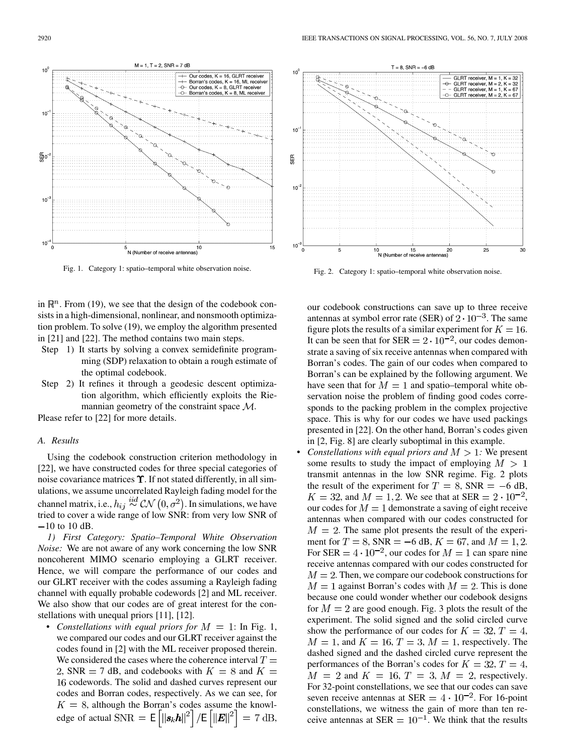

Fig. 1. Category 1: spatio–temporal white observation noise.

in  $\mathbb{R}^n$ . From (19), we see that the design of the codebook consists in a high-dimensional, nonlinear, and nonsmooth optimization problem. To solve (19), we employ the algorithm presented in [21] and [22]. The method contains two main steps.

- Step 1) It starts by solving a convex semidefinite programming (SDP) relaxation to obtain a rough estimate of the optimal codebook.
- Step 2) It refines it through a geodesic descent optimization algorithm, which efficiently exploits the Riemannian geometry of the constraint space  $\mathcal{M}$ .

Please refer to [22] for more details.

## *A. Results*

Using the codebook construction criterion methodology in [22], we have constructed codes for three special categories of noise covariance matrices  $\Upsilon$ . If not stated differently, in all simulations, we assume uncorrelated Rayleigh fading model for the channel matrix, i.e.,  $h_{ij} \stackrel{iid}{\sim} \mathcal{CN}(0, \sigma^2)$ . In simulations, we have tried to cover a wide range of low SNR: from very low SNR of  $-10$  to 10 dB.

*1) First Category: Spatio–Temporal White Observation Noise:* We are not aware of any work concerning the low SNR noncoherent MIMO scenario employing a GLRT receiver. Hence, we will compare the performance of our codes and our GLRT receiver with the codes assuming a Rayleigh fading channel with equally probable codewords [2] and ML receiver. We also show that our codes are of great interest for the constellations with unequal priors [11], [12].

• *Constellations with equal priors for*  $M = 1$ : In Fig. 1, we compared our codes and our GLRT receiver against the codes found in [2] with the ML receiver proposed therein. We considered the cases where the coherence interval  $T =$ 2, SNR = 7 dB, and codebooks with  $K = 8$  and  $K =$ 16 codewords. The solid and dashed curves represent our codes and Borran codes, respectively. As we can see, for , although the Borran's codes assume the knowledge of actual SNR  $=$   $E|||\mathbf{s}_k\mathbf{h}||^2$  |  $/E||E||^2$  |  $= 7$  dB,



Fig. 2. Category 1: spatio–temporal white observation noise.

our codebook constructions can save up to three receive antennas at symbol error rate (SER) of  $2 \cdot 10^{-3}$ . The same figure plots the results of a similar experiment for  $K = 16$ . It can be seen that for SER  $= 2 \cdot 10^{-2}$ , our codes demonstrate a saving of six receive antennas when compared with Borran's codes. The gain of our codes when compared to Borran's can be explained by the following argument. We have seen that for  $M = 1$  and spatio–temporal white observation noise the problem of finding good codes corresponds to the packing problem in the complex projective space. This is why for our codes we have used packings presented in [22]. On the other hand, Borran's codes given in [2, Fig. 8] are clearly suboptimal in this example.

*Constellations with equal priors and*  $M > 1$ . We present some results to study the impact of employing  $M > 1$ transmit antennas in the low SNR regime. Fig. 2 plots the result of the experiment for  $T = 8$ , SNR = -6 dB,  $K = 32$ , and  $M = 1, 2$ . We see that at SER =  $2 \cdot 10^{-2}$ , our codes for  $M = 1$  demonstrate a saving of eight receive antennas when compared with our codes constructed for  $M = 2$ . The same plot presents the result of the experiment for  $T = 8$ , SNR = -6 dB,  $K = 67$ , and  $M = 1, 2$ . For SER =  $4 \cdot 10^{-2}$ , our codes for  $M = 1$  can spare nine receive antennas compared with our codes constructed for  $M = 2$ . Then, we compare our codebook constructions for  $M = 1$  against Borran's codes with  $M = 2$ . This is done because one could wonder whether our codebook designs for  $M = 2$  are good enough. Fig. 3 plots the result of the experiment. The solid signed and the solid circled curve show the performance of our codes for  $K = 32, T = 4$ ,  $M = 1$ , and  $K = 16$ ,  $T = 3$ ,  $M = 1$ , respectively. The dashed signed and the dashed circled curve represent the performances of the Borran's codes for  $K = 32, T = 4$ ,  $M = 2$  and  $K = 16$ ,  $T = 3$ ,  $M = 2$ , respectively. For 32-point constellations, we see that our codes can save seven receive antennas at SER  $= 4 \cdot 10^{-2}$ . For 16-point constellations, we witness the gain of more than ten receive antennas at SER  $= 10^{-1}$ . We think that the results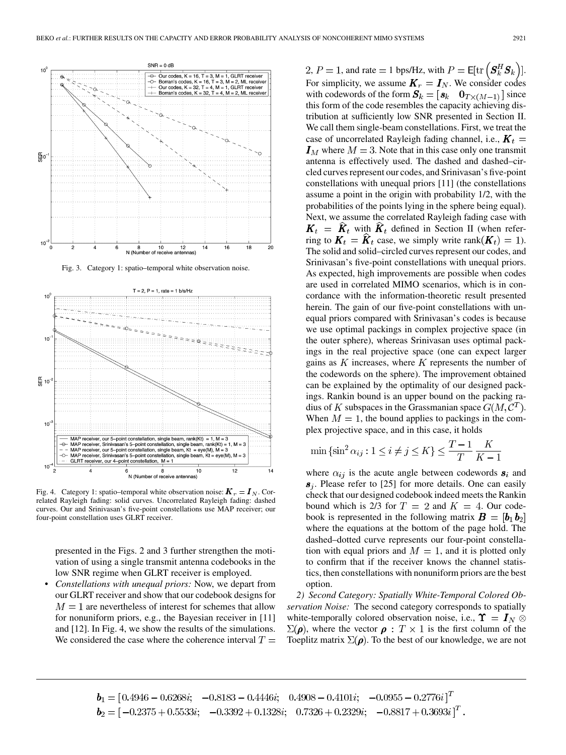

Fig. 3. Category 1: spatio–temporal white observation noise.



Fig. 4. Category 1: spatio–temporal white observation noise:  $\mathbf{K}_r = \mathbf{I}_N$ . Correlated Rayleigh fading: solid curves. Uncorrelated Rayleigh fading: dashed curves. Our and Srinivasan's five-point constellations use MAP receiver; our four-point constellation uses GLRT receiver.

presented in the Figs. 2 and 3 further strengthen the motivation of using a single transmit antenna codebooks in the low SNR regime when GLRT receiver is employed.

• *Constellations with unequal priors:* Now, we depart from our GLRT receiver and show that our codebook designs for  $M = 1$  are nevertheless of interest for schemes that allow for nonuniform priors, e.g., the Bayesian receiver in [11] and [12]. In Fig. 4, we show the results of the simulations. We considered the case where the coherence interval  $T =$ 

2,  $P = 1$ , and rate  $= 1$  bps/Hz, with  $P = \mathsf{E}[\text{tr}\left(\mathbf{S}_k^H \mathbf{S}_k\right)]$ . For simplicity, we assume  $\mathbf{K}_r = \mathbf{I}_N$ . We consider codes with codewords of the form  $S_k = [s_k \quad 0_{T \times (M-1)}]$  since this form of the code resembles the capacity achieving distribution at sufficiently low SNR presented in Section II. We call them single-beam constellations. First, we treat the case of uncorrelated Rayleigh fading channel, i.e.,  $\boldsymbol{K}_t =$  $I_M$  where  $M = 3$ . Note that in this case only one transmit antenna is effectively used. The dashed and dashed–circled curves represent our codes, and Srinivasan's five-point constellations with unequal priors [11] (the constellations assume a point in the origin with probability 1/2, with the probabilities of the points lying in the sphere being equal). Next, we assume the correlated Rayleigh fading case with  $K_t = \hat{K}_t$  with  $\hat{K}_t$  defined in Section II (when referring to  $K_t = \hat{K}_t$  case, we simply write rank $(K_t) = 1$ ). The solid and solid–circled curves represent our codes, and Srinivasan's five-point constellations with unequal priors. As expected, high improvements are possible when codes are used in correlated MIMO scenarios, which is in concordance with the information-theoretic result presented herein. The gain of our five-point constellations with unequal priors compared with Srinivasan's codes is because we use optimal packings in complex projective space (in the outer sphere), whereas Srinivasan uses optimal packings in the real projective space (one can expect larger gains as  $K$  increases, where  $K$  represents the number of the codewords on the sphere). The improvement obtained can be explained by the optimality of our designed packings. Rankin bound is an upper bound on the packing radius of K subspaces in the Grassmanian space  $G(M, \mathcal{C}^T)$ . When  $M = 1$ , the bound applies to packings in the complex projective space, and in this case, it holds

$$
\min \{\sin^2 \alpha_{ij} : 1 \le i \ne j \le K\} \le \frac{T-1}{T} \frac{K}{K-1}
$$

where  $\alpha_{ij}$  is the acute angle between codewords  $s_i$  and  $s_i$ . Please refer to [25] for more details. One can easily check that our designed codebook indeed meets the Rankin bound which is 2/3 for  $T = 2$  and  $K = 4$ . Our codebook is represented in the following matrix  $\mathbf{B} = [\mathbf{b}_1 \mathbf{b}_2]$ where the equations at the bottom of the page hold. The dashed–dotted curve represents our four-point constellation with equal priors and  $M = 1$ , and it is plotted only to confirm that if the receiver knows the channel statistics, then constellations with nonuniform priors are the best option.

*2) Second Category: Spatially White-Temporal Colored Observation Noise:* The second category corresponds to spatially white-temporally colored observation noise, i.e.,  $\Upsilon = I_N \otimes$  $\Sigma(\rho)$ , where the vector  $\rho$ :  $T \times 1$  is the first column of the Toeplitz matrix  $\Sigma(\rho)$ . To the best of our knowledge, we are not

 $\pmb{b}_1 = [0.4946 - 0.6268i; \ \ -0.8183 - 0.4446i; \ \ 0.4908 - 0.4101i; \ \ -0.0955 - 0.2776i]^T$  $\mathbf{b}_2 = [-0.2375 + 0.5533i; -0.3392 + 0.1328i; 0.7326 + 0.2329i; -0.8817 + 0.3693i]^T$ .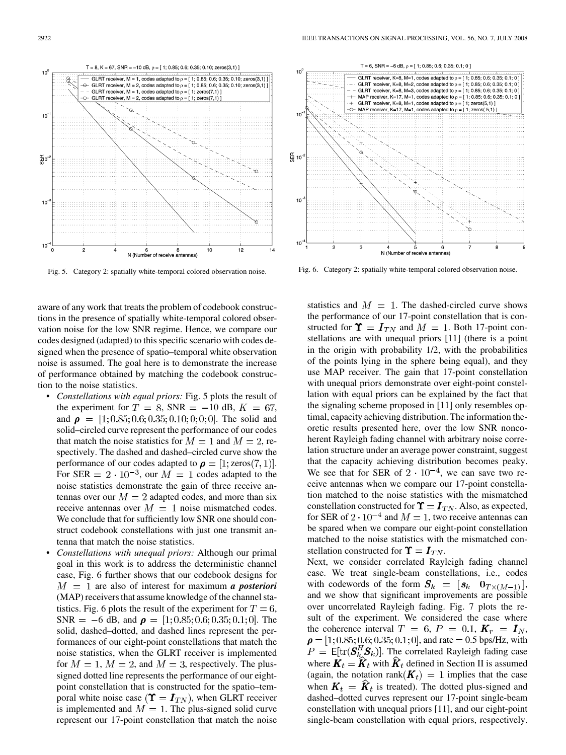

Fig. 5. Category 2: spatially white-temporal colored observation noise.

aware of any work that treats the problem of codebook constructions in the presence of spatially white-temporal colored observation noise for the low SNR regime. Hence, we compare our codes designed (adapted) to this specific scenario with codes designed when the presence of spatio–temporal white observation noise is assumed. The goal here is to demonstrate the increase of performance obtained by matching the codebook construction to the noise statistics.

- *Constellations with equal priors:* Fig. 5 plots the result of the experiment for  $T = 8$ , SNR = -10 dB,  $K = 67$ , and  $\rho = [1; 0.85; 0.6; 0.35; 0.10; 0; 0; 0]$ . The solid and solid–circled curve represent the performance of our codes that match the noise statistics for  $M = 1$  and  $M = 2$ , respectively. The dashed and dashed–circled curve show the performance of our codes adapted to  $\rho = [1; zeros(7, 1)].$ For SER =  $2 \cdot 10^{-3}$ , our  $M = 1$  codes adapted to the noise statistics demonstrate the gain of three receive antennas over our  $M = 2$  adapted codes, and more than six receive antennas over  $M = 1$  noise mismatched codes. We conclude that for sufficiently low SNR one should construct codebook constellations with just one transmit antenna that match the noise statistics.
- *Constellations with unequal priors:* Although our primal goal in this work is to address the deterministic channel case, Fig. 6 further shows that our codebook designs for  $M = 1$  are also of interest for maximum *a posteriori* (MAP) receivers that assume knowledge of the channel statistics. Fig. 6 plots the result of the experiment for  $T = 6$ , SNR = -6 dB, and  $\rho = [1; 0.85; 0.6; 0.35; 0.1; 0]$ . The solid, dashed–dotted, and dashed lines represent the performances of our eight-point constellations that match the noise statistics, when the GLRT receiver is implemented for  $M = 1$ ,  $M = 2$ , and  $M = 3$ , respectively. The plussigned dotted line represents the performance of our eightpoint constellation that is constructed for the spatio–temporal white noise case  $(\Upsilon = I_{TN})$ , when GLRT receiver is implemented and  $M = 1$ . The plus-signed solid curve represent our 17-point constellation that match the noise



Fig. 6. Category 2: spatially white-temporal colored observation noise.

statistics and  $M = 1$ . The dashed-circled curve shows the performance of our 17-point constellation that is constructed for  $\Upsilon = I_{TN}$  and  $M = 1$ . Both 17-point constellations are with unequal priors [11] (there is a point in the origin with probability 1/2, with the probabilities of the points lying in the sphere being equal), and they use MAP receiver. The gain that 17-point constellation with unequal priors demonstrate over eight-point constellation with equal priors can be explained by the fact that the signaling scheme proposed in [11] only resembles optimal, capacity achieving distribution. The information theoretic results presented here, over the low SNR noncoherent Rayleigh fading channel with arbitrary noise correlation structure under an average power constraint, suggest that the capacity achieving distribution becomes peaky. We see that for SER of  $2 \cdot 10^{-4}$ , we can save two receive antennas when we compare our 17-point constellation matched to the noise statistics with the mismatched constellation constructed for  $\Upsilon = I_{TN}$ . Also, as expected, for SER of  $2 \cdot 10^{-4}$  and  $M = 1$ , two receive antennas can be spared when we compare our eight-point constellation matched to the noise statistics with the mismatched constellation constructed for  $\Upsilon = I_{TN}$ .

Next, we consider correlated Rayleigh fading channel case. We treat single-beam constellations, i.e., codes with codewords of the form  $S_k = \begin{bmatrix} s_k & 0_{T \times (M-1)} \end{bmatrix}$ , and we show that significant improvements are possible over uncorrelated Rayleigh fading. Fig. 7 plots the result of the experiment. We considered the case where the coherence interval  $T = 6, P = 0.1, K_r = I_N$ ,  $\rho = [1; 0.85; 0.6; 0.35; 0.1; 0]$ , and rate = 0.5 bps/Hz, with  $P = \mathsf{E}[\text{tr}(\mathbf{S}_k^H \mathbf{S}_k)]$ . The correlated Rayleigh fading case where  $\mathbf{K}_t = \hat{\mathbf{K}}_t$  with  $\hat{\mathbf{K}}_t$  defined in Section II is assumed (again, the notation rank  $(K_t) = 1$  implies that the case when  $\mathbf{K}_t = \hat{\mathbf{K}}_t$  is treated). The dotted plus-signed and dashed–dotted curves represent our 17-point single-beam constellation with unequal priors [11], and our eight-point single-beam constellation with equal priors, respectively.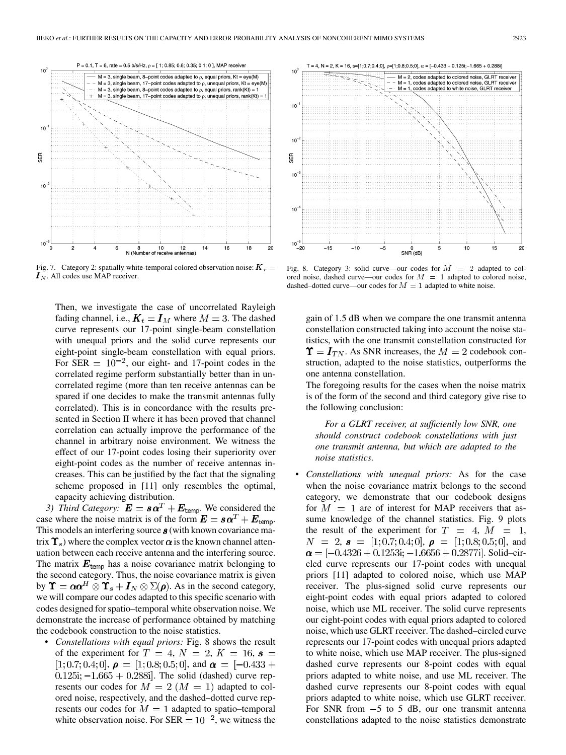

Fig. 7. Category 2: spatially white-temporal colored observation noise:  $K_r =$  $\overline{I}_N$ . All codes use MAP receiver.

Then, we investigate the case of uncorrelated Rayleigh fading channel, i.e.,  $K_t = I_M$  where  $M = 3$ . The dashed curve represents our 17-point single-beam constellation with unequal priors and the solid curve represents our eight-point single-beam constellation with equal priors. For SER  $= 10^{-2}$ , our eight- and 17-point codes in the correlated regime perform substantially better than in uncorrelated regime (more than ten receive antennas can be spared if one decides to make the transmit antennas fully correlated). This is in concordance with the results presented in Section II where it has been proved that channel correlation can actually improve the performance of the channel in arbitrary noise environment. We witness the effect of our 17-point codes losing their superiority over eight-point codes as the number of receive antennas increases. This can be justified by the fact that the signaling scheme proposed in [11] only resembles the optimal, capacity achieving distribution.

*3) Third Category:*  $\mathbf{E} = \mathbf{s}\mathbf{\alpha}^T + \mathbf{E}_{\text{temp}}$ . We considered the case where the noise matrix is of the form  $\mathbf{E} = \mathbf{s}\mathbf{\alpha}^T + \mathbf{E}_{\text{temp}}$ . This models an interfering source  $s$  (with known covariance matrix  $\Upsilon_s$ ) where the complex vector  $\alpha$  is the known channel attenuation between each receive antenna and the interfering source. The matrix  $E_{temp}$  has a noise covariance matrix belonging to the second category. Thus, the noise covariance matrix is given by  $\Upsilon = \alpha \alpha^H \otimes \Upsilon_s + I_N \otimes \Sigma(\rho)$ . As in the second category, we will compare our codes adapted to this specific scenario with codes designed for spatio–temporal white observation noise. We demonstrate the increase of performance obtained by matching the codebook construction to the noise statistics.

• *Constellations with equal priors:* Fig. 8 shows the result of the experiment for  $T = 4$ ,  $N = 2$ ,  $K = 16$ ,  $\boldsymbol{s} =$ [1, 0.7, 0.4, 0],  $\rho =$  [1, 0.8, 0.5, 0], and  $\alpha =$  [-0.433 +  $0.125i; -1.665 + 0.288i$ . The solid (dashed) curve represents our codes for  $M = 2$   $(M = 1)$  adapted to colored noise, respectively, and the dashed–dotted curve represents our codes for  $M = 1$  adapted to spatio–temporal white observation noise. For  $SER = 10^{-2}$ , we witness the



Fig. 8. Category 3: solid curve—our codes for  $M = 2$  adapted to colored noise, dashed curve—our codes for  $M = 1$  adapted to colored noise, dashed–dotted curve—our codes for  $M = 1$  adapted to white noise.

gain of 1.5 dB when we compare the one transmit antenna constellation constructed taking into account the noise statistics, with the one transmit constellation constructed for  $\Upsilon = I_{TN}$ . As SNR increases, the  $M = 2$  codebook construction, adapted to the noise statistics, outperforms the one antenna constellation.

The foregoing results for the cases when the noise matrix is of the form of the second and third category give rise to the following conclusion:

*For a GLRT receiver, at sufficiently low SNR, one should construct codebook constellations with just one transmit antenna, but which are adapted to the noise statistics.*

• *Constellations with unequal priors:* As for the case when the noise covariance matrix belongs to the second category, we demonstrate that our codebook designs for  $M = 1$  are of interest for MAP receivers that assume knowledge of the channel statistics. Fig. 9 plots the result of the experiment for  $T = 4$ ,  $M = 1$ ,  $N = 2$ ,  $\boldsymbol{s} = [1; 0.7; 0.4; 0], \boldsymbol{\rho} = [1; 0.8; 0.5; 0],$  and  $\alpha = [-0.4326 + 0.1253i; -1.6656 + 0.2877i]$ . Solid–circled curve represents our 17-point codes with unequal priors [11] adapted to colored noise, which use MAP receiver. The plus-signed solid curve represents our eight-point codes with equal priors adapted to colored noise, which use ML receiver. The solid curve represents our eight-point codes with equal priors adapted to colored noise, which use GLRT receiver. The dashed–circled curve represents our 17-point codes with unequal priors adapted to white noise, which use MAP receiver. The plus-signed dashed curve represents our 8-point codes with equal priors adapted to white noise, and use ML receiver. The dashed curve represents our 8-point codes with equal priors adapted to white noise, which use GLRT receiver. For SNR from  $-5$  to 5 dB, our one transmit antenna constellations adapted to the noise statistics demonstrate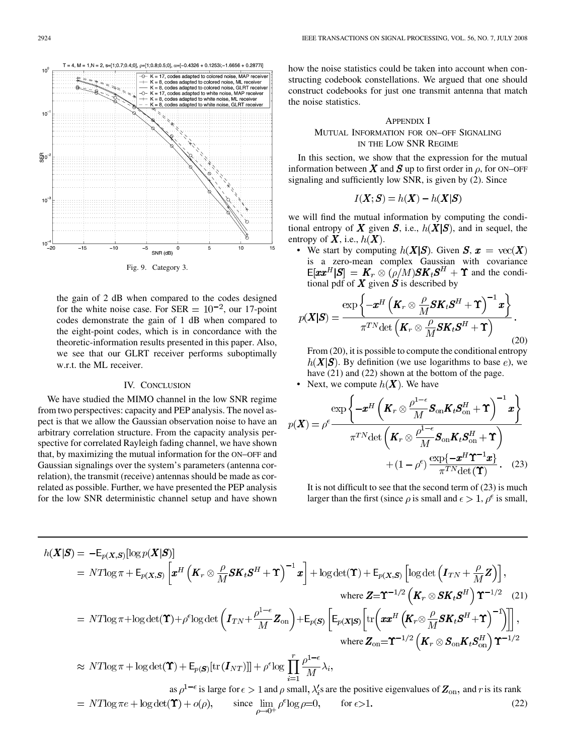

the gain of 2 dB when compared to the codes designed for the white noise case. For SER  $= 10^{-2}$ , our 17-point codes demonstrate the gain of 1 dB when compared to the eight-point codes, which is in concordance with the theoretic-information results presented in this paper. Also, we see that our GLRT receiver performs suboptimally w.r.t. the ML receiver.

## IV. CONCLUSION

We have studied the MIMO channel in the low SNR regime from two perspectives: capacity and PEP analysis. The novel aspect is that we allow the Gaussian observation noise to have an arbitrary correlation structure. From the capacity analysis perspective for correlated Rayleigh fading channel, we have shown that, by maximizing the mutual information for the ON–OFF and Gaussian signalings over the system's parameters (antenna correlation), the transmit (receive) antennas should be made as correlated as possible. Further, we have presented the PEP analysis for the low SNR deterministic channel setup and have shown

how the noise statistics could be taken into account when constructing codebook constellations. We argued that one should construct codebooks for just one transmit antenna that match the noise statistics.

# APPENDIX I MUTUAL INFORMATION FOR ON–OFF SIGNALING IN THE LOW SNR REGIME

In this section, we show that the expression for the mutual information between X and S up to first order in  $\rho$ , for ON–OFF signaling and sufficiently low SNR, is given by (2). Since

$$
I(\boldsymbol{X};\boldsymbol{S}) = h(\boldsymbol{X}) - h(\boldsymbol{X}|\boldsymbol{S})
$$

we will find the mutual information by computing the conditional entropy of X given S, i.e.,  $h(X|S)$ , and in sequel, the entropy of  $X$ , i.e.,  $h(X)$ .

• We start by computing  $h(X|S)$ . Given  $S, x = \text{vec}(X)$ is a zero-mean complex Gaussian with covariance  $E[\boldsymbol{x}\boldsymbol{x}^{H}|\boldsymbol{S}] = \boldsymbol{K}_{r} \otimes (\rho/M)\boldsymbol{S}\boldsymbol{K}_{t}\boldsymbol{S}^{H} + \boldsymbol{\Upsilon}$  and the conditional pdf of  $X$  given  $S$  is described by

$$
p(\boldsymbol{X}|\boldsymbol{S}) = \frac{\exp\left\{-\boldsymbol{x}^H \left(\boldsymbol{K}_r \otimes \frac{\rho}{M} \boldsymbol{S} \boldsymbol{K}_t \boldsymbol{S}^H + \boldsymbol{\Upsilon}\right)^{-1} \boldsymbol{x}\right\}}{\pi^{TN} \det\left(\boldsymbol{K}_r \otimes \frac{\rho}{M} \boldsymbol{S} \boldsymbol{K}_t \boldsymbol{S}^H + \boldsymbol{\Upsilon}\right)}.
$$
\n(20)

From (20), it is possible to compute the conditional entropy  $h(X|S)$ . By definition (we use logarithms to base e), we have (21) and (22) shown at the bottom of the page.

• Next, we compute  $h(X)$ . We have

$$
p(\boldsymbol{X}) = \rho^{\epsilon} \frac{\exp\left\{-\boldsymbol{x}^{H}\left(\boldsymbol{K}_{r} \otimes \frac{\rho^{1-\epsilon}}{M} \boldsymbol{S}_{\text{on}} \boldsymbol{K}_{t} \boldsymbol{S}_{\text{on}}^{H} + \boldsymbol{\Upsilon}\right)^{-1} \boldsymbol{x}\right\}}{\pi^{TN} \det\left(\boldsymbol{K}_{r} \otimes \frac{\rho^{1-\epsilon}}{M} \boldsymbol{S}_{\text{on}} \boldsymbol{K}_{t} \boldsymbol{S}_{\text{on}}^{H} + \boldsymbol{\Upsilon}\right)} + (1-\rho^{\epsilon}) \frac{\exp\{-\boldsymbol{x}^{H} \boldsymbol{\Upsilon}^{-1} \boldsymbol{x}\}}{\pi^{TN} \det(\boldsymbol{\Upsilon})}. \quad (23)
$$

It is not difficult to see that the second term of  $(23)$  is much larger than the first (since  $\rho$  is small and  $\epsilon > 1$ ,  $\rho^{\epsilon}$  is small,

$$
h(\mathbf{X}|\mathbf{S}) = -\mathsf{E}_{p(\mathbf{X},\mathbf{S})}[\log p(\mathbf{X}|\mathbf{S})]
$$
  
\n
$$
= NT\log \pi + \mathsf{E}_{p(\mathbf{X},\mathbf{S})}\left[\mathbf{x}^{H}\left(\mathbf{K}_{r}\otimes\frac{\rho}{M}\mathbf{S}\mathbf{K}_{t}\mathbf{S}^{H} + \mathbf{\Upsilon}\right)^{-1}\mathbf{x}\right] + \log \det(\mathbf{\Upsilon}) + \mathsf{E}_{p(\mathbf{X},\mathbf{S})}\left[\log \det\left(\mathbf{I}_{TN} + \frac{\rho}{M}\mathbf{Z}\right)\right],
$$
  
\nwhere  $\mathbf{Z} = \mathbf{\Upsilon}^{-1/2}\left(\mathbf{K}_{r}\otimes\mathbf{S}\mathbf{K}_{t}\mathbf{S}^{H}\right)\mathbf{\Upsilon}^{-1/2}$  (21)  
\n
$$
= NT\log \pi + \log \det(\mathbf{\Upsilon}) + \rho^{\epsilon}\log \det\left(\mathbf{I}_{TN} + \frac{\rho^{1-\epsilon}}{M}\mathbf{Z}_{\text{on}}\right) + \mathsf{E}_{p(\mathbf{S})}\left[\mathsf{E}_{p(\mathbf{X}|\mathbf{S})}\left[\text{tr}\left(\mathbf{x}\mathbf{x}^{H}\left(\mathbf{K}_{r}\otimes\frac{\rho}{M}\mathbf{S}\mathbf{K}_{t}\mathbf{S}^{H} + \mathbf{\Upsilon}\right)^{-1}\right)\right]\right],
$$
  
\nwhere  $\mathbf{Z}_{\text{on}} = \mathbf{\Upsilon}^{-1/2}\left(\mathbf{K}_{r}\otimes\mathbf{S}_{\text{on}}\mathbf{K}_{t}\mathbf{S}_{\text{on}}^{H}\right)\mathbf{\Upsilon}^{-1/2}$   
\n
$$
\approx NT\log \pi + \log \det(\mathbf{\Upsilon}) + \mathsf{E}_{p(\mathbf{S})}\left[\text{tr}\left(\mathbf{I}_{NT}\right)\right] + \rho^{\epsilon}\log \prod_{i=1}^{r} \frac{\rho^{1-\epsilon}}{M}\lambda_{i},
$$
  
\nas  $\rho^{1-\epsilon}$  is large for  $\epsilon > 1$  and  $\rho$  small,  $\lambda_{i}'$ s are the positive eigenvalues of  $\mathbf{Z}_{\text{on}}$ , and  $r$  is its rank  
\n<math display="block</math>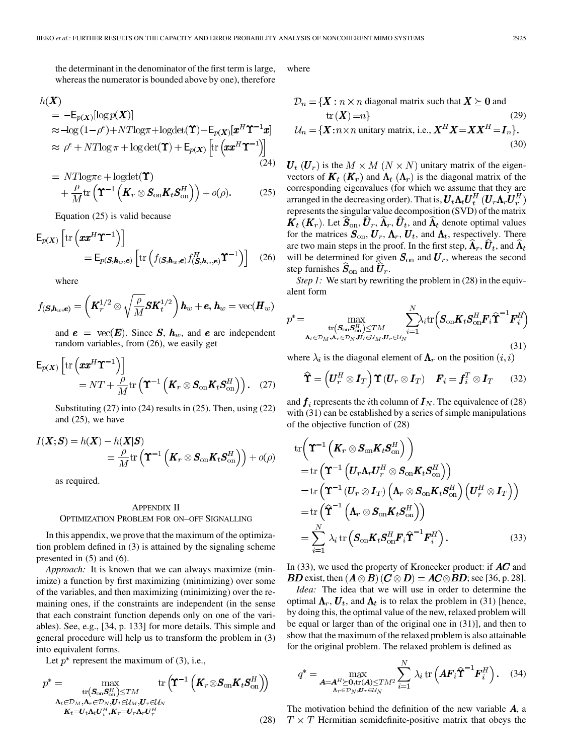the determinant in the denominator of the first term is large, whereas the numerator is bounded above by one), therefore

$$
h(\mathbf{X}) = -\mathsf{E}_{p(\mathbf{X})}[\log p(\mathbf{X})]
$$
  
\n
$$
\approx -\log(1-\rho^{\epsilon}) + NT \log \pi + \log \det(\mathbf{\Upsilon}) + \mathsf{E}_{p(\mathbf{X})}[\mathbf{x}^{H}\mathbf{\Upsilon}^{-1}\mathbf{x}]
$$
  
\n
$$
\approx \rho^{\epsilon} + NT \log \pi + \log \det(\mathbf{\Upsilon}) + \mathsf{E}_{p(\mathbf{X})}[\text{tr}(\mathbf{x}\mathbf{x}^{H}\mathbf{\Upsilon}^{-1})]
$$
\n(24)

$$
= NT\log \pi e + \log \det(\Upsilon) + \frac{\rho}{M} \text{tr} \left( \Upsilon^{-1} \left( \pmb{K}_r \otimes \pmb{S}_{\text{on}} \pmb{K}_t \pmb{S}_{\text{on}}^H \right) \right) + o(\rho).
$$
 (25)

Equation (25) is valid because

$$
\mathsf{E}_{p(\boldsymbol{X})}\left[\mathrm{tr}\left(\boldsymbol{xx}^{H}\boldsymbol{\Upsilon}^{-1}\right)\right] = \mathsf{E}_{p(\boldsymbol{S},\boldsymbol{h}_{w},\boldsymbol{e})}\left[\mathrm{tr}\left(f(\boldsymbol{S},\boldsymbol{h}_{w},\boldsymbol{e})f(\boldsymbol{S},\boldsymbol{h}_{w},\boldsymbol{e})\boldsymbol{\Upsilon}^{-1}\right)\right]
$$
(26)

where

$$
f_{(\boldsymbol{S},\boldsymbol{h}_w,\boldsymbol{e})} = \left(\boldsymbol{K}_r^{1/2} \otimes \sqrt{\frac{\rho}{M}} \boldsymbol{S} \boldsymbol{K}_t^{1/2}\right) \boldsymbol{h}_w + \boldsymbol{e}, \, \boldsymbol{h}_w = \text{vec}(\boldsymbol{H}_w)
$$

and  $e = \text{vec}(\mathbf{E})$ . Since  $\mathbf{S}$ ,  $\mathbf{h}_w$ , and  $e$  are independent random variables, from (26), we easily get

$$
\mathsf{E}_{p(X)}\left[\mathrm{tr}\left(\boldsymbol{xx}^{H}\boldsymbol{\Upsilon}^{-1}\right)\right] = NT + \frac{\rho}{M} \mathrm{tr}\left(\boldsymbol{\Upsilon}^{-1}\left(\boldsymbol{K}_{r} \otimes \boldsymbol{S}_{\mathrm{on}} \boldsymbol{K}_{t} \boldsymbol{S}_{\mathrm{on}}^{H}\right)\right). \quad (27)
$$

Substituting (27) into (24) results in (25). Then, using (22) and (25), we have

$$
I(\boldsymbol{X};\boldsymbol{S}) = h(\boldsymbol{X}) - h(\boldsymbol{X}|\boldsymbol{S})
$$
  
=  $\frac{\rho}{M} \text{tr} \left( \boldsymbol{\Upsilon}^{-1} \left( \boldsymbol{K}_r \otimes \boldsymbol{S}_{\text{on}} \boldsymbol{K}_t \boldsymbol{S}_{\text{on}}^H \right) \right) + o(\rho)$ 

as required.

#### APPENDIX II

## OPTIMIZATION PROBLEM FOR ON–OFF SIGNALLING

In this appendix, we prove that the maximum of the optimization problem defined in (3) is attained by the signaling scheme presented in (5) and (6).

*Approach:* It is known that we can always maximize (minimize) a function by first maximizing (minimizing) over some of the variables, and then maximizing (minimizing) over the remaining ones, if the constraints are independent (in the sense that each constraint function depends only on one of the variables). See, e.g., [34, p. 133] for more details. This simple and general procedure will help us to transform the problem in (3) into equivalent forms.

Let  $p^*$  represent the maximum of (3), i.e.,

$$
p^* = \max_{\substack{\text{tr}(\mathbf{S}_{\text{on}}\mathbf{S}_{\text{on}}^H)\leq TM \\ \mathbf{A}_t\in\mathcal{D}_M,\mathbf{A}_r\in\mathcal{D}_N,\mathbf{U}_t\in\mathcal{U}_M,\mathbf{U}_r\in\mathcal{U}_N \\ \mathbf{K}_t=\mathbf{U}_t\mathbf{A}_t\mathbf{U}_t^H,\mathbf{K}_r=\mathbf{U}_r\mathbf{A}_r\mathbf{U}_r^H}} \text{tr}(\mathbf{\hat{T}}^{-1}\left(\mathbf{K}_r\otimes\mathbf{S}_{\text{on}}\mathbf{K}_t\mathbf{S}_{\text{on}}^H\right))
$$

where

$$
\mathcal{D}_n = \{ \mathbf{X} : n \times n \text{ diagonal matrix such that } \mathbf{X} \succeq \mathbf{0} \text{ and } \text{tr}(\mathbf{X}) = n \}
$$
\n
$$
\mathcal{U}_n = \{ \mathbf{X} : n \times n \text{ unitary matrix, i.e., } \mathbf{X}^H \mathbf{X} = \mathbf{X} \mathbf{X}^H = \mathbf{I}_n \}.
$$
\n(30)

 $U_t$  ( $U_r$ ) is the  $M \times M$  ( $N \times N$ ) unitary matrix of the eigenvectors of  $\mathbf{K}_t$  ( $\mathbf{K}_r$ ) and  $\mathbf{\Lambda}_t$  ( $\mathbf{\Lambda}_r$ ) is the diagonal matrix of the corresponding eigenvalues (for which we assume that they are arranged in the decreasing order). That is,  $U_t \Lambda_t U_t^H (U_r \Lambda_r U_r^H)$ represents the singular value decomposition (SVD) of the matrix  $K_t$  ( $K_r$ ). Let  $\widehat{S}_{\text{on}}, \widehat{U}_r, \widehat{\Lambda}_r, \widehat{U}_t$ , and  $\widehat{\Lambda}_t$  denote optimal values for the matrices  $S_{on}$ ,  $U_r$ ,  $\Lambda_r$ ,  $U_t$ , and  $\Lambda_t$ , respectively. There are two main steps in the proof. In the first step,  $\hat{\mathbf{\Lambda}}_r$ ,  $\hat{\mathbf{\mathit{U}}}_t$ , and  $\hat{\mathbf{\Lambda}}_t$ will be determined for given  $S_{on}$  and  $U_r$ , whereas the second step furnishes  $\hat{\mathbf{S}}_{on}$  and  $\hat{\mathbf{U}}_r$ .

*Step 1:* We start by rewriting the problem in (28) in the equivalent form

$$
p^* = \max_{\substack{\text{tr}(\mathbf{S}_{\text{on}}\mathbf{S}_{\text{on}}^H)\leq TM \\ \mathbf{A}_t \in \mathcal{D}_M,\mathbf{A}_r \in \mathcal{D}_N, \mathbf{U}_t \in \mathcal{U}_M, \mathbf{U}_r \in \mathcal{U}_N}} \sum_{i=1}^N \lambda_i \text{tr}(\mathbf{S}_{\text{on}}\mathbf{K}_t\mathbf{S}_{\text{on}}^H \mathbf{F}_i \mathbf{\hat{T}}^{-1} \mathbf{F}_i^H)
$$
(31)

where  $\lambda_i$  is the diagonal element of  $\Lambda_r$  on the position  $(i, i)$ 

$$
\widehat{\Upsilon} = \left(U_r^H \otimes I_T\right) \Upsilon \left(U_r \otimes I_T\right) \quad F_i = f_i^T \otimes I_T \qquad (32)
$$

and  $f_i$  represents the *i*th column of  $I_N$ . The equivalence of (28) with (31) can be established by a series of simple manipulations of the objective function of (28)

$$
\begin{split}\n&\text{tr}\left(\boldsymbol{\Upsilon}^{-1}\left(\boldsymbol{K}_{r}\otimes\boldsymbol{S}_{\text{on}}\boldsymbol{K}_{t}\boldsymbol{S}_{\text{on}}^{H}\right)\right) \\
&=\text{tr}\left(\boldsymbol{\Upsilon}^{-1}\left(\boldsymbol{U}_{r}\boldsymbol{\Lambda}_{r}\boldsymbol{U}_{r}^{H}\otimes\boldsymbol{S}_{\text{on}}\boldsymbol{K}_{t}\boldsymbol{S}_{\text{on}}^{H}\right)\right) \\
&=\text{tr}\left(\boldsymbol{\Upsilon}^{-1}\left(\boldsymbol{U}_{r}\otimes\boldsymbol{I}_{T}\right)\left(\boldsymbol{\Lambda}_{r}\otimes\boldsymbol{S}_{\text{on}}\boldsymbol{K}_{t}\boldsymbol{S}_{\text{on}}^{H}\right)\left(\boldsymbol{U}_{r}^{H}\otimes\boldsymbol{I}_{T}\right)\right) \\
&=\text{tr}\left(\widehat{\boldsymbol{\Upsilon}}^{-1}\left(\boldsymbol{\Lambda}_{r}\otimes\boldsymbol{S}_{\text{on}}\boldsymbol{K}_{t}\boldsymbol{S}_{\text{on}}^{H}\right)\right) \\
&=\sum_{i=1}^{N}\lambda_{i}\,\text{tr}\left(\boldsymbol{S}_{\text{on}}\boldsymbol{K}_{t}\boldsymbol{S}_{\text{on}}^{H}\boldsymbol{F}_{i}\widehat{\boldsymbol{\Upsilon}}^{-1}\boldsymbol{F}_{i}^{H}\right).\n\end{split} \tag{33}
$$

In (33), we used the property of Kronecker product: if  $AC$  and **BD** exist, then  $(A \otimes B)(C \otimes D) = AC \otimes BD$ ; see [36, p. 28].

*Idea:* The idea that we will use in order to determine the optimal  $\Lambda_r$ ,  $\mathbf{U}_t$ , and  $\Lambda_t$  is to relax the problem in (31) [hence, by doing this, the optimal value of the new, relaxed problem will be equal or larger than of the original one in (31)], and then to show that the maximum of the relaxed problem is also attainable for the original problem. The relaxed problem is defined as

$$
q^* = \max_{\mathbf{A} = \mathbf{A}^H \succeq \mathbf{0}, \text{tr}(\mathbf{A}) \leq TM^2} \sum_{i=1}^N \lambda_i \text{ tr}\left(\mathbf{A}\mathbf{F}_i \mathbf{\hat{T}}^{-1} \mathbf{F}_i^H\right). \quad (34)
$$

(28)  $T \times T$  Hermitian semidefinite-positive matrix that obeys the The motivation behind the definition of the new variable  $A$ , a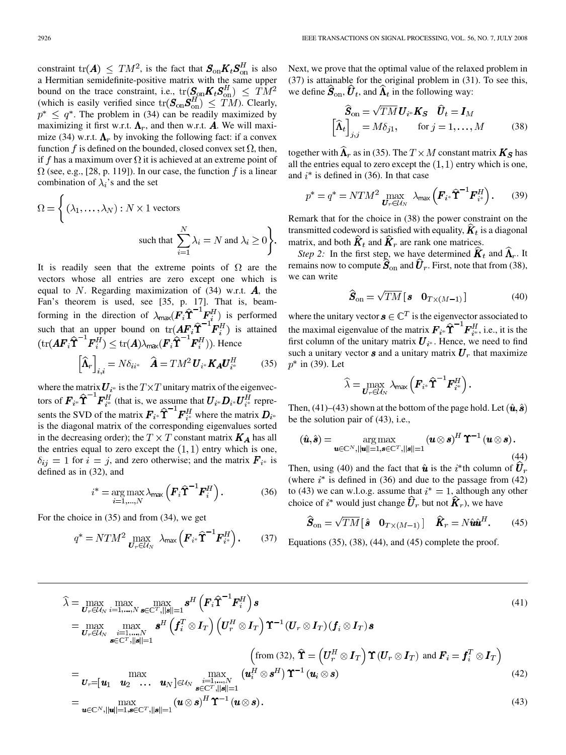constraint  $tr(A) \leq TM^2$ , is the fact that  $S_{on}K_tS_{on}^H$  is also a Hermitian semidefinite-positive matrix with the same upper bound on the trace constraint, i.e.,  $tr(\mathbf{S}_{\text{on}}\mathbf{K}_t\mathbf{S}_{\text{on}}^H) \leq TM^2$ (which is easily verified since  $tr(S_{on}S_{on}^H) \leq TM$ ). Clearly,  $p^* \leq q^*$ . The problem in (34) can be readily maximized by maximizing it first w.r.t.  $\Lambda_r$ , and then w.r.t. **A**. We will maximize (34) w.r.t.  $\Lambda_r$  by invoking the following fact: if a convex function f is defined on the bounded, closed convex set  $\Omega$ , then, if f has a maximum over  $\Omega$  it is achieved at an extreme point of  $\Omega$  (see, e.g., [28, p. 119]). In our case, the function f is a linear combination of  $\lambda_i$ 's and the set

$$
\Omega = \left\{ (\lambda_1, \dots, \lambda_N) : N \times 1 \text{ vectors} \right\}
$$
  
such that 
$$
\sum_{i=1}^N \lambda_i = N \text{ and } \lambda_i \ge 0 \right\}.
$$

It is readily seen that the extreme points of  $\Omega$  are the vectors whose all entries are zero except one which is equal to N. Regarding maximization of  $(34)$  w.r.t.  $\vec{A}$ , the Fan's theorem is used, see [35, p. 17]. That is, beamforming in the direction of  $\lambda_{\text{max}}(\mathbf{F}_i \hat{\Upsilon}^{-1} \mathbf{F}_i^H)$  is performed such that an upper bound on  $tr(\boldsymbol{AF}_i \hat{\boldsymbol{T}}^{-1} \boldsymbol{F}_i^H)$  is attained  $(\text{tr}(\boldsymbol{A}\boldsymbol{F}_{i}\boldsymbol{\hat{\Upsilon}}^{-1}\boldsymbol{F}_{i}^{H}) \leq \text{tr}(\boldsymbol{A})\lambda_{\text{max}}(\boldsymbol{F}_{i}\boldsymbol{\hat{\Upsilon}}^{-1}\boldsymbol{F}_{i}^{H})$ ). Hence

$$
\left[\widehat{\mathbf{\Lambda}}_{r}\right]_{i,i} = N\delta_{ii^{*}} \quad \widehat{\mathbf{A}} = TM^{2} \mathbf{U}_{i^{*}} \mathbf{K}_{\mathbf{A}} \mathbf{U}_{i^{*}}^{H} \tag{35}
$$

where the matrix  $U_{i^*}$  is the  $T \times T$  unitary matrix of the eigenvectors of  $\boldsymbol{F}_{i^*} \widehat{\Upsilon}^{-1} \boldsymbol{F}_{i^*}^H$  (that is, we assume that  $\boldsymbol{U}_{i^*} \boldsymbol{D}_{i^*} \boldsymbol{U}_{i^*}^H$  represents the SVD of the matrix  $\boldsymbol{F}_{i^*} \hat{\boldsymbol{\Upsilon}}^{-1} \boldsymbol{F}_{i^*}^H$  where the matrix  $\boldsymbol{D}_{i^*}$ is the diagonal matrix of the corresponding eigenvalues sorted in the decreasing order); the  $T \times T$  constant matrix  $K_A$  has all the entries equal to zero except the  $(1,1)$  entry which is one,  $\delta_{ij} = 1$  for  $i = j$ , and zero otherwise; and the matrix  $\mathbf{F}_{i^*}$  is defined as in (32), and

$$
i^* = \underset{i=1,\dots,N}{\arg \max} \lambda_{\max} \left( \boldsymbol{F}_i \widehat{\mathbf{T}}^{-1} \boldsymbol{F}_i^H \right). \tag{36}
$$

For the choice in (35) and from (34), we get

$$
q^* = N T M^2 \max_{\boldsymbol{U}_r \in \mathcal{U}_N} \ \lambda_{\text{max}} \left( \boldsymbol{F}_{i^*} \widehat{\boldsymbol{\Upsilon}}^{-1} \boldsymbol{F}_{i^*}^H \right). \tag{37}
$$

Next, we prove that the optimal value of the relaxed problem in (37) is attainable for the original problem in (31). To see this, we define  $\hat{\mathbf{S}}_{on}$ ,  $\hat{\mathbf{U}}_t$ , and  $\hat{\mathbf{\Lambda}}_t$  in the following way:

$$
\widehat{\mathbf{S}}_{\text{on}} = \sqrt{TM} \mathbf{U}_{i^*} \mathbf{K}_{\mathbf{S}} \quad \widehat{\mathbf{U}}_t = \mathbf{I}_M
$$
\n
$$
\left[\widehat{\mathbf{\Lambda}}_t\right]_{j,j} = M\delta_{j1}, \quad \text{for } j = 1, \dots, M \quad (38)
$$

together with  $\widehat{\mathbf{\Lambda}}_r$  as in (35). The  $T \times M$  constant matrix  $\mathbf{K}_S$  has all the entries equal to zero except the  $(1, 1)$  entry which is one, and  $i^*$  is defined in (36). In that case

$$
p^* = q^* = N T M^2 \max_{\boldsymbol{U}_r \in \mathcal{U}_N} \lambda_{\max} \left( \boldsymbol{F}_{i^*} \widehat{\mathbf{T}}^{-1} \boldsymbol{F}_{i^*}^H \right). \tag{39}
$$

Remark that for the choice in (38) the power constraint on the transmitted codeword is satisfied with equality,  $\hat{K}_t$  is a diagonal matrix, and both  $\hat{K}_t$  and  $\hat{K}_r$  are rank one matrices.

*Step 2:* In the first step, we have determined  $\hat{K}_t$  and  $\hat{\Lambda}_r$ . It remains now to compute  $\hat{\mathbf{S}}_{on}$  and  $\hat{\mathbf{U}}_r$ . First, note that from (38), we can write

$$
\widehat{\boldsymbol{S}}_{\text{on}} = \sqrt{TM} \begin{bmatrix} \boldsymbol{s} & \boldsymbol{0}_{T \times (M-1)} \end{bmatrix}
$$
 (40)

where the unitary vector  $\mathbf{s} \in \mathbb{C}^T$  is the eigenvector associated to the maximal eigenvalue of the matrix  $\boldsymbol{F}_{i^*} \hat{\boldsymbol{\Upsilon}}^{-1} \boldsymbol{F}_{i^*}^H$ , i.e., it is the first column of the unitary matrix  $U_{i^*}$ . Hence, we need to find such a unitary vector  $s$  and a unitary matrix  $\mathbf{U}_r$  that maximize  $p^*$  in (39). Let

$$
\widehat{\lambda} = \max_{\boldsymbol{U}_r \in \mathcal{U}_N} \lambda_{\text{max}} \left( \boldsymbol{F}_{i^*} \widehat{\boldsymbol{\Upsilon}}^{-1} \boldsymbol{F}_{i^*}^H \right).
$$

Then, (41)–(43) shown at the bottom of the page hold. Let  $(\hat{u}, \hat{s})$ be the solution pair of (43), i.e.,

$$
(\hat{\boldsymbol{u}}, \hat{\boldsymbol{s}}) = \operatorname*{arg\,max}_{\boldsymbol{u} \in \mathbb{C}^N, ||\boldsymbol{u}|| = 1, \boldsymbol{s} \in \mathbb{C}^T, ||\boldsymbol{s}|| = 1} (\boldsymbol{u} \otimes \boldsymbol{s})^H \boldsymbol{\Upsilon}^{-1} (\boldsymbol{u} \otimes \boldsymbol{s}).
$$
\n(44)

Then, using (40) and the fact that  $\hat{u}$  is the i<sup>\*</sup>th column of  $\hat{U}_r$ (where  $i^*$  is defined in (36) and due to the passage from (42) to (43) we can w.l.o.g. assume that  $i^* = 1$ , although any other choice of  $i^*$  would just change  $\hat{\boldsymbol{U}}_r$  but not  $\hat{\boldsymbol{K}}_r$ ), we have

$$
\widehat{\boldsymbol{S}}_{\text{on}} = \sqrt{TM} \begin{bmatrix} \hat{\boldsymbol{s}} & \mathbf{0}_{T \times (M-1)} \end{bmatrix} \quad \widehat{\boldsymbol{K}}_{r} = N \hat{\boldsymbol{u}} \hat{\boldsymbol{u}}^{H}. \tag{45}
$$

Equations  $(35)$ ,  $(38)$ ,  $(44)$ , and  $(45)$  complete the proof.

$$
\hat{\lambda} = \max_{\mathbf{U}_r \in \mathcal{U}_N} \max_{i=1,\dots,N} \max_{\mathbf{s} \in \mathbb{C}^T, ||\mathbf{s}|| = 1} \mathbf{s}^H \left( \mathbf{F}_i \hat{\mathbf{T}}^{-1} \mathbf{F}_i^H \right) \mathbf{s}
$$
\n
$$
= \max_{\mathbf{U}_r \in \mathcal{U}_N} \max_{\substack{i=1,\dots,N \\ \mathbf{s} \in \mathbb{C}^T, ||\mathbf{s}|| = 1}} \mathbf{s}^H \left( \mathbf{f}_i^T \otimes \mathbf{I}_T \right) \left( \mathbf{U}_r^H \otimes \mathbf{I}_T \right) \mathbf{T}^{-1} \left( \mathbf{U}_r \otimes \mathbf{I}_T \right) (\mathbf{f}_i \otimes \mathbf{I}_T) \mathbf{s}
$$
\n
$$
= \max_{\mathbf{U}_r = \begin{bmatrix} \mathbf{u}_1 & \mathbf{u}_2 & \dots & \mathbf{u}_N \end{bmatrix} \in \mathcal{U}_N} \max_{\substack{i=1,\dots,N \\ \mathbf{s} \in \mathbb{C}^T, ||\mathbf{s}|| = 1}} \left( \text{from (32)}, \hat{\mathbf{T}} = \left( \mathbf{U}_r^H \otimes \mathbf{I}_T \right) \mathbf{T} \left( \mathbf{U}_r \otimes \mathbf{I}_T \right) \text{ and } \mathbf{F}_i = \mathbf{f}_i^T \otimes \mathbf{I}_T \right)
$$
\n
$$
= \max_{\mathbf{U}_r = \begin{bmatrix} \mathbf{u}_1 & \mathbf{u}_2 & \dots & \mathbf{u}_N \end{bmatrix} \in \mathcal{U}_N} \max_{\substack{i=1,\dots,N \\ \mathbf{s} \in \mathbb{C}^T, ||\mathbf{s}|| = 1}} \left( \mathbf{u} \otimes \mathbf{s} \right)^H \mathbf{T}^{-1} \left( \mathbf{u} \otimes \mathbf{s} \right).
$$
\n
$$
= \max_{\mathbf{u} \in \mathbb{C}^N, ||\mathbf{u}|| = 1, \mathbf{s} \in \mathbb{C}^T, ||\mathbf{s}|| = 1} \left( \mathbf{u} \otimes \mathbf{s} \right)^H \mathbf{T}
$$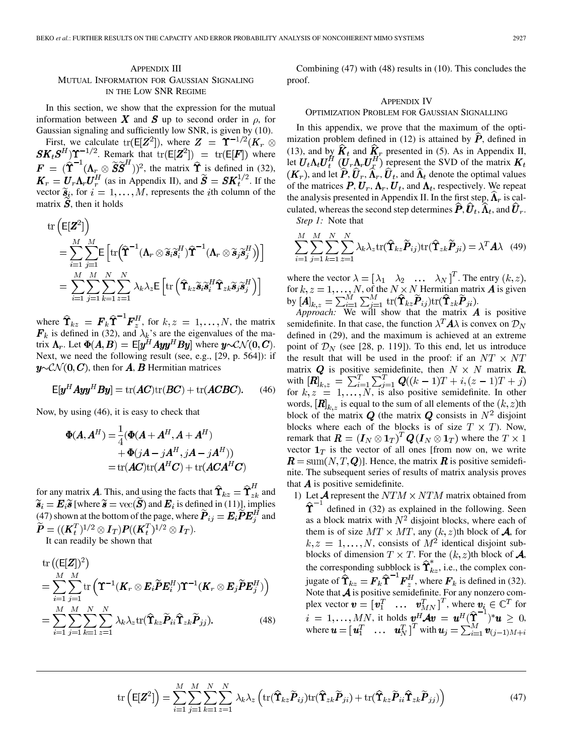# APPENDIX III MUTUAL INFORMATION FOR GAUSSIAN SIGNALING IN THE LOW SNR REGIME

In this section, we show that the expression for the mutual information between X and S up to second order in  $\rho$ , for Gaussian signaling and sufficiently low SNR, is given by (10).

First, we calculate  $tr(E[\mathbf{Z}^2])$ , where  $\mathbf{Z} = \Upsilon^{-1/2}(\mathbf{K}_r \otimes \mathbf{K}_r)$  $SK_tS^H$ ) $\Upsilon^{-1/2}$ . Remark that  $tr(E[Z^2]) = tr(E[F])$  where  $\mathbf{F} = (\hat{\mathbf{T}}^{-1}(\mathbf{\Lambda}_{r} \otimes \tilde{\mathbf{S}}\tilde{\mathbf{S}}^{H}))^{2}$ , the matrix  $\hat{\mathbf{T}}_{\sim}$  is defined in (32),  $\mathbf{K}_r = \mathbf{U}_r \mathbf{\Lambda}_r \mathbf{U}_r^H$  (as in Appendix II), and  $\widetilde{\mathbf{S}} = \mathbf{S} \mathbf{K}_t^{1/2}$ . If the vector  $\widetilde{\mathbf{s}}_i$ , for  $i = 1, ..., M$ , represents the *i*th column of the matrix  $S$ , then it holds

$$
\operatorname{tr}\left(\mathsf{E}[\mathbf{Z}^2]\right)
$$
\n
$$
= \sum_{i=1}^M \sum_{j=1}^M \mathsf{E}\left[\operatorname{tr}\left(\widehat{\mathbf{T}}^{-1}(\mathbf{\Lambda}_r \otimes \widetilde{\mathbf{s}}_i \widetilde{\mathbf{s}}_i^H)\widehat{\mathbf{T}}^{-1}(\mathbf{\Lambda}_r \otimes \widetilde{\mathbf{s}}_j \widetilde{\mathbf{s}}_j^H)\right)\right]
$$
\n
$$
= \sum_{i=1}^M \sum_{j=1}^M \sum_{k=1}^N \sum_{z=1}^N \lambda_k \lambda_z \mathsf{E}\left[\operatorname{tr}\left(\widehat{\mathbf{T}}_{kz} \widetilde{\mathbf{s}}_i \widetilde{\mathbf{s}}_i^H \widehat{\mathbf{T}}_{zk} \widetilde{\mathbf{s}}_j \widetilde{\mathbf{s}}_j^H\right)\right]
$$

where  $\Upsilon_{kz} = F_k \Upsilon$   $\overline{F}_z^H$ , for  $k, z = 1, \ldots, N$ , the matrix is defined in (32), and  $\lambda_k$ 's are the eigenvalues of the matrix  $\Lambda_r$ . Let  $\Phi(A, B) = \mathbb{E}[y^H A y y^H B y]$  where  $y \sim \mathcal{CN}(0, C)$ . Next, we need the following result (see, e.g., [29, p. 564]): if  $y\sim\mathcal{CN}(0,\mathbf{C})$ , then for A, B Hermitian matrices

$$
E[y^{H} A y y^{H} B y] = \text{tr}(AC)\text{tr}(BC) + \text{tr}(ACBC). \qquad (46)
$$

Now, by using (46), it is easy to check that

$$
\Phi(A, A^H) = \frac{1}{4} (\Phi(A + A^H, A + A^H) \n+ \Phi(jA - jA^H, jA - jA^H)) \n= \text{tr}(AC)\text{tr}(A^H C) + \text{tr}(ACA^H C)
$$

for any matrix **A**. This, and using the facts that  $\hat{\Upsilon}_{kz} = \hat{\Upsilon}_{zk}^H$  and  $\widetilde{\bm{s}}_i = \bm{E}_i \widetilde{\bm{s}}$  [where  $\widetilde{\bm{s}} = \text{vec}(\widetilde{\bm{S}})$  and  $\bm{E}_i$  is defined in (11)], implies (47) shown at the bottom of the page, where  $\dot{P}_{ij} = E_i \dot{P} E_i^H$  and  $\widetilde{\boldsymbol{P}} = ((\boldsymbol{K}_t^T)^{1/2} \otimes \boldsymbol{I}_T) \boldsymbol{P} ((\boldsymbol{K}_t^T)^{1/2} \otimes \boldsymbol{I}_T).$ 

It can readily be shown that

tr 
$$
((E[\mathbf{Z}])^2)
$$
  
\n
$$
= \sum_{i=1}^{M} \sum_{j=1}^{M} tr\left(\mathbf{T}^{-1}(\mathbf{K}_r \otimes \mathbf{E}_i \widetilde{\mathbf{P}} \mathbf{E}_i^H) \mathbf{T}^{-1}(\mathbf{K}_r \otimes \mathbf{E}_j \widetilde{\mathbf{P}} \mathbf{E}_j^H)\right)
$$
\n
$$
= \sum_{i=1}^{M} \sum_{j=1}^{M} \sum_{k=1}^{N} \sum_{z=1}^{N} \lambda_k \lambda_z tr(\widehat{\mathbf{T}}_{kz} \widetilde{\mathbf{P}}_{ii} \widehat{\mathbf{T}}_{zk} \widetilde{\mathbf{P}}_{jj}).
$$
\n(48)

Combining (47) with (48) results in (10). This concludes the proof.

## APPENDIX IV

#### OPTIMIZATION PROBLEM FOR GAUSSIAN SIGNALLING

In this appendix, we prove that the maximum of the optimization problem defined in (12) is attained by  $\vec{P}$ , defined in (13), and by  $K_t$  and  $K_r$  presented in (5). As in Appendix II, let  $U_t \Lambda_t U_t^H$   $(U_r \Lambda_r U_r^H)$  represent the SVD of the matrix  $(K_r)$ , and let  $\widehat{P}, \widehat{U}_r, \widehat{\Lambda}_r, \widehat{U}_t$ , and  $\widehat{\Lambda}_t$  denote the optimal values of the matrices  $P, U_r, \Lambda_r, U_t$ , and  $\Lambda_t$ , respectively. We repeat the analysis presented in Appendix II. In the first step,  $\Lambda_r$  is calculated, whereas the second step determines  $\hat{P}, \hat{U}_t, \hat{\Lambda}_t$ , and  $\hat{U}_r$ .

*Step 1:* Note that

$$
\sum_{i=1}^{M} \sum_{j=1}^{M} \sum_{k=1}^{N} \sum_{z=1}^{N} \lambda_k \lambda_z \text{tr}(\hat{\mathbf{T}}_{kz} \tilde{\boldsymbol{P}}_{ij}) \text{tr}(\hat{\mathbf{T}}_{zk} \tilde{\boldsymbol{P}}_{ji}) = \lambda^T \mathbf{A} \lambda \quad (49)
$$

where the vector  $\lambda = [\lambda_1 \quad \lambda_2 \quad \dots \quad \lambda_N]^T$ . The entry  $(k, z)$ , for  $k, z = 1, \ldots, N$ , of the  $N \times N$  Hermitian matrix  $\boldsymbol{A}$  is given by  $[\mathbf{A}]_{k,z} = \sum_{i=1}^{M} \sum_{i=1}^{M} \text{tr}(\mathbf{\hat{T}}_{kz} \mathbf{P}_{ij}) \text{tr}(\mathbf{\hat{T}}_{zk} \mathbf{P}_{ji}).$ 

*Approach:* We will show that the matrix  $\boldsymbol{A}$  is positive semidefinite. In that case, the function  $\lambda^T A \lambda$  is convex on  $\mathcal{D}_N$ defined in (29), and the maximum is achieved at an extreme point of  $\mathcal{D}_N$  (see [28, p. 119]). To this end, let us introduce the result that will be used in the proof: if an  $NT \times NT$ matrix Q is positive semidefinite, then  $N \times N$  matrix R, with for  $k, z = 1, ..., N$ , is also positive semidefinite. In other words,  $[\mathbf{R}]_{k,z}$  is equal to the sum of all elements of the  $(k, z)$ th block of the matrix Q (the matrix Q consists in  $N^2$  disjoint blocks where each of the blocks is of size  $T \times T$ ). Now, remark that  $\mathbf{R} = (\mathbf{I}_N \otimes \mathbf{1}_T)^T \mathbf{Q} (\mathbf{I}_N \otimes \mathbf{1}_T)$  where the  $T \times 1$ vector  $1_T$  is the vector of all ones [from now on, we write  $\mathbf{R} = \text{sum}(N, T, \mathbf{Q})$ . Hence, the matrix  $\mathbf{R}$  is positive semidefinite. The subsequent series of results of matrix analysis proves that  $\boldsymbol{A}$  is positive semidefinite.

1) Let  $\mathcal A$  represent the  $NTM \times NTM$  matrix obtained from  $\hat{\Upsilon}^{-1}$  defined in (32) as explained in the following. Seen as a block matrix with  $N^2$  disjoint blocks, where each of them is of size  $MT \times MT$ , any  $(k, z)$ th block of **A**, for  $k, z = 1, \ldots, N$ , consists of  $M<sup>2</sup>$  identical disjoint subblocks of dimension  $T \times T$ . For the  $(k, z)$ th block of  $\mathcal{A}$ , the corresponding subblock is  $\Upsilon_{kz}$ , i.e., the complex conjugate of  $\Upsilon_{kz} = F_k \Upsilon^{-1} F_z^H$ , where  $F_k$  is defined in (32). Note that  $\boldsymbol{\mathcal{A}}$  is positive semidefinite. For any nonzero complex vector  $\mathbf{v} = [\mathbf{v}_1^T \dots \mathbf{v}_{MN}^T]^T$ , where  $\mathbf{v}_i \in \mathbb{C}^T$  for , it holds  $\mathbf{v}^H \mathcal{A} \mathbf{v} = \mathbf{u}^H (\mathbf{\Upsilon}^-)^* \mathbf{u} \geq 0$ , where  $\boldsymbol{u} = [\boldsymbol{u}_1^T \dots \boldsymbol{u}_N^T]^T$  with

$$
\operatorname{tr}\left(\mathsf{E}[\mathbf{Z}^2]\right) = \sum_{i=1}^M \sum_{j=1}^M \sum_{k=1}^N \sum_{z=1}^N \lambda_k \lambda_z \left( \operatorname{tr}(\widehat{\mathbf{T}}_{kz} \widetilde{\boldsymbol{P}}_{ij}) \operatorname{tr}(\widehat{\mathbf{T}}_{zk} \widetilde{\boldsymbol{P}}_{ji}) + \operatorname{tr}(\widehat{\mathbf{T}}_{kz} \widetilde{\boldsymbol{P}}_{ii} \widehat{\mathbf{T}}_{zk} \widetilde{\boldsymbol{P}}_{jj}) \right)
$$
(47)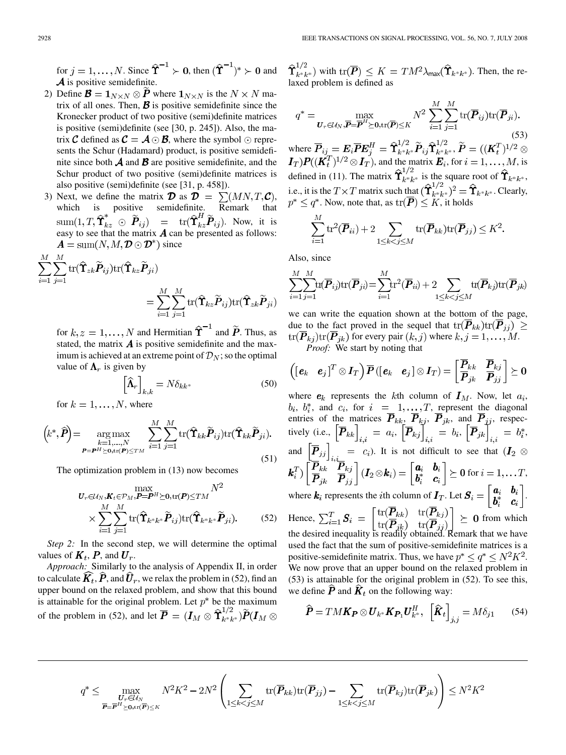for  $j = 1, ..., N$ . Since  $\hat{\Upsilon}^{-1} \succ 0$ , then  $(\hat{\Upsilon}^{-1})^* \succ 0$  and  $\boldsymbol{\mathcal{A}}$  is positive semidefinite.

- 2) Define  $\mathbf{B} = \mathbf{1}_{N \times N} \otimes \mathbf{P}$  where  $\mathbf{1}_{N \times N}$  is the  $N \times N$  matrix of all ones. Then,  $\boldsymbol{\beta}$  is positive semidefinite since the Kronecker product of two positive (semi)definite matrices is positive (semi)definite (see [30, p. 245]). Also, the matrix **C** defined as  $C = A \odot B$ , where the symbol  $\odot$  represents the Schur (Hadamard) product, is positive semidefinite since both  $\boldsymbol{\mathcal{A}}$  and  $\boldsymbol{\mathcal{B}}$  are positive semidefinite, and the Schur product of two positive (semi)definite matrices is also positive (semi)definite (see [31, p. 458]).
- 3) Next, we define the matrix  $\mathbf{\mathcal{D}}$  as  $\mathbf{\mathcal{D}} = \sum (MN, T, \mathbf{\mathcal{C}})$ , which is positive semidefinite. Remark that . Now, it is easy to see that the matrix  $\vec{A}$  can be presented as follows:  $\mathbf{A} = \text{sum}(N, M, \mathbf{\mathcal{D}} \odot \mathbf{\mathcal{D}}^*)$  since

$$
\sum_{i=1}^{M} \sum_{j=1}^{M} \text{tr}(\hat{\mathbf{T}}_{zk}\tilde{P}_{ij}) \text{tr}(\hat{\mathbf{T}}_{kz}\tilde{P}_{ji})
$$
\n
$$
= \sum_{i=1}^{M} \sum_{j=1}^{M} \text{tr}(\hat{\mathbf{T}}_{kz}\tilde{P}_{ij}) \text{tr}(\hat{\mathbf{T}}_{zk}\tilde{P}_{ji})
$$

for  $k, z = 1, ..., N$  and Hermitian  $\hat{\tau}^{-1}$  and  $\tilde{P}$ . Thus, as stated, the matrix  $\vec{A}$  is positive semidefinite and the maximum is achieved at an extreme point of  $\mathcal{D}_N$ ; so the optimal value of  $\Lambda_r$  is given by

$$
\left[\widehat{\Lambda}_r\right]_{k,k} = N \delta_{kk^*} \tag{50}
$$

for  $k = 1, \ldots, N$ , where

$$
\left(k^*,\widehat{\boldsymbol{P}}\right) = \underset{\boldsymbol{P} = \boldsymbol{P}^H \succeq \boldsymbol{0}, \text{tr}(\boldsymbol{P}) \leq TM}{\arg \max} \sum_{i=1}^M \sum_{j=1}^M \text{tr}(\widehat{\mathbf{T}}_{kk} \widetilde{\boldsymbol{P}}_{ij}) \text{tr}(\widehat{\mathbf{T}}_{kk} \widetilde{\boldsymbol{P}}_{ji}).
$$
\n(51)

The optimization problem in (13) now becomes

$$
\begin{split} & \max_{\mathbf{U}_{r} \in \mathcal{U}_{N}, \mathbf{K}_{t} \in \mathcal{P}_{M}, \mathbf{P} = \mathbf{P}^{H} \succeq \mathbf{0}, \text{tr}(\mathbf{P}) \leq TM} N^{2} \\ & \times \sum_{i=1}^{M} \sum_{j=1}^{M} \text{tr}(\hat{\mathbf{T}}_{k^{*}k^{*}} \widetilde{\mathbf{P}}_{ij}) \text{tr}(\hat{\mathbf{T}}_{k^{*}k^{*}} \widetilde{\mathbf{P}}_{ji}). \end{split} \tag{52}
$$

*Step 2:* In the second step, we will determine the optimal values of  $K_t$ ,  $P$ , and  $U_r$ .

*Approach:* Similarly to the analysis of Appendix II, in order to calculate  $\widehat{\boldsymbol{K}}_t, \widehat{\boldsymbol{P}},$  and  $\widehat{\boldsymbol{U}}_r,$  we relax the problem in (52), find an upper bound on the relaxed problem, and show that this bound is attainable for the original problem. Let  $p^*$  be the maximum of the problem in (52), and let  $\overline{\mathbf{P}} = (\mathbf{I}_M \otimes \mathbf{\hat{T}}_{k*k*}^{1/2})\widetilde{\mathbf{P}}(\mathbf{I}_M \otimes$   $\hat{\Upsilon}_{k^*k^*}^{1/2}$  with  $\text{tr}(\overline{\boldsymbol{P}}) \leq K = TM^2\lambda_{\text{max}}(\hat{\Upsilon}_{k^*k^*})$ . Then, the relaxed problem is defined as

$$
q^* = \max_{\mathbf{U}_r \in \mathcal{U}_N, \overline{\mathbf{P}} = \overline{\mathbf{P}}^H \succeq \mathbf{0}, \text{tr}(\overline{\mathbf{P}}) \le K} N^2 \sum_{i=1}^M \sum_{j=1}^M \text{tr}(\overline{\mathbf{P}}_{ij}) \text{tr}(\overline{\mathbf{P}}_{ji}).
$$
\n(53)

where  $P_{ij} = E_i P E_i^H = \Upsilon_{k^* k^*}^{\cdots} P_{ij} \Upsilon_{k^* k^*}^{\cdots}$ , and the matrix  $\boldsymbol{E}_i$ , for  $i = 1, \dots, M$ , is defined in (11). The matrix  $\Upsilon_{k^*k^*}$  is the square root of  $\Upsilon_{k^*k^*}$ , i.e., it is the  $T \times T$  matrix such that  $({\Upsilon}_{k^*k^*}^{\mathcal{L}})^2 = {\Upsilon}_{k^*k^*}$ . Clearly, . Now, note that, as  $\text{tr}(\boldsymbol{P}) \leq K$ , it holds

$$
\sum_{i=1}^{M} \text{tr}^2(\overline{P}_{ii}) + 2 \sum_{1 \leq k < j \leq M} \text{tr}(\overline{P}_{kk}) \text{tr}(\overline{P}_{jj}) \leq K^2.
$$

Also, since

$$
\sum_{i=1}^{M} \sum_{j=1}^{M} \text{tr}(\overline{\boldsymbol{P}}_{ij}) \text{tr}(\overline{\boldsymbol{P}}_{ji}) = \sum_{i=1}^{M} \text{tr}^2(\overline{\boldsymbol{P}}_{ii}) + 2 \sum_{1 \leq k < j \leq M} \text{tr}(\overline{\boldsymbol{P}}_{kj}) \text{tr}(\overline{\boldsymbol{P}}_{jk})
$$

we can write the equation shown at the bottom of the page, due to the fact proved in the sequel that  $tr(\overline{P}_{kk})tr(\overline{P}_{ij}) \ge$  $tr(\overline{P}_{kj})tr(\overline{P}_{jk})$  for every pair  $(k, j)$  where  $k, j = 1, ..., M$ . *Proof:* We start by noting that

$$
\left(\begin{bmatrix} \boldsymbol{e}_k & \boldsymbol{e}_j \end{bmatrix}^T \otimes \boldsymbol{I}_T \right) \overline{\boldsymbol{P}}\left( \begin{bmatrix} \boldsymbol{e}_k & \boldsymbol{e}_j \end{bmatrix} \otimes \boldsymbol{I}_T \right) = \begin{bmatrix} \boldsymbol{P}_{kk} & \boldsymbol{P}_{kj} \\ \overline{\boldsymbol{P}}_{jk} & \overline{\boldsymbol{P}}_{jj} \end{bmatrix} \succeq \boldsymbol{0}
$$

(52) Hence,  $\sum_{i=1}^{I} S_i = \left| \frac{\ln(1 - \kappa k)}{\sqrt{D}} \right| \geq 0$  from which where  $e_k$  represents the kth column of  $I_M$ . Now, let  $a_i$ , ,  $b_i^*$ , and  $c_i$ , for  $i = 1, ..., T$ , represent the diagonal entries of the matrices  $P_{kk}$ ,  $P_{ki}$ ,  $P_{ik}$ , and  $P_{ij}$ , respectively (i.e.,  $|\mathbf{P}_{kk}| = a_i, |\mathbf{P}_{kj}| = b_i, |\mathbf{P}_{jk}| = b_i^*$ , and  $|P_{ij}| = c_i$ ). It is not difficult to see that for  $i = 1, \ldots T$ , where  $\boldsymbol{k}_i$  represents the *i*th column of  $\boldsymbol{I}_T$ . Let  $\boldsymbol{S}_i = \begin{bmatrix} \boldsymbol{a}_i & \boldsymbol{b}_i \\ \boldsymbol{b}_i^* & \boldsymbol{c}_i \end{bmatrix}$ . the desired inequality is readily obtained. Remark that we have used the fact that the sum of positive-semidefinite matrices is a positive-semidefinite matrix. Thus, we have  $p^* \le q^* \le N^2 K^2$ . We now prove that an upper bound on the relaxed problem in (53) is attainable for the original problem in (52). To see this, we define  $\hat{P}$  and  $\hat{K}_t$  on the following way:

$$
\widehat{\boldsymbol{P}} = TM\boldsymbol{K}_{\boldsymbol{P}} \otimes \boldsymbol{U}_{k^*}\boldsymbol{K}_{\boldsymbol{P}_1}\boldsymbol{U}_{k^*}^H, \ \left[\widehat{\boldsymbol{K}}_t\right]_{j,j} = M\delta_{j1} \qquad (54)
$$

$$
q^* \leq \max_{\substack{\boldsymbol{U}_r \in \mathcal{U}_N \\ \boldsymbol{P} = \boldsymbol{P}^H \geq \mathbf{0}, \text{tr}(\boldsymbol{\overline{P}}) \leq K}} N^2 K^2 - 2N^2 \left( \sum_{1 \leq k < j \leq M} \text{tr}(\boldsymbol{\overline{P}}_{kk}) \text{tr}(\boldsymbol{\overline{P}}_{jj}) - \sum_{1 \leq k < j \leq M} \text{tr}(\boldsymbol{\overline{P}}_{kj}) \text{tr}(\boldsymbol{\overline{P}}_{jk}) \right) \leq N^2 K^2
$$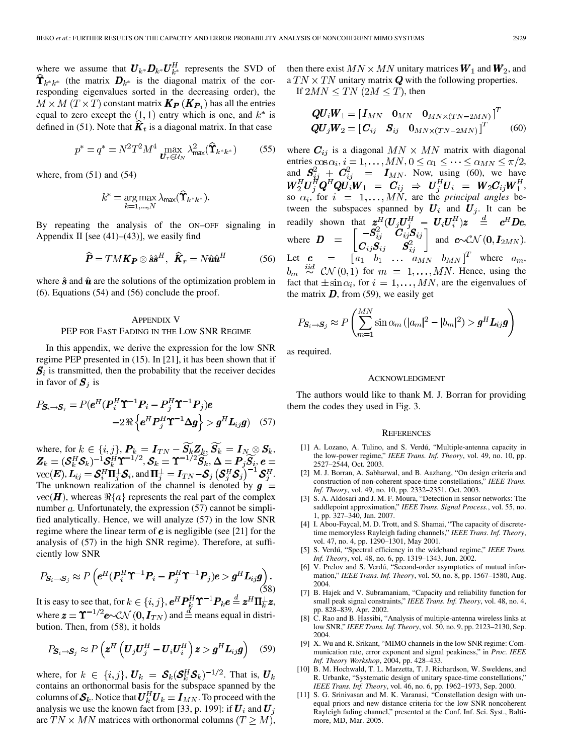where we assume that  $\boldsymbol{U}_{k^*}\boldsymbol{D}_{k^*}\boldsymbol{U}_{k^*}^H$  represents the SVD of  $\hat{\Upsilon}_{k^*k^*}$  (the matrix  $D_{k^*}$  is the diagonal matrix of the corresponding eigenvalues sorted in the decreasing order), the  $M \times M$   $(T \times T)$  constant matrix  $\mathbf{K_P}(\mathbf{K_{P_1}})$  has all the entries equal to zero except the  $(1,1)$  entry which is one, and  $k^*$  is defined in (51). Note that  $K_t$  is a diagonal matrix. In that case

$$
p^* = q^* = N^2 T^2 M^4 \max_{\mathbf{U}_r \in \mathcal{U}_N} \lambda_{\max}^2(\hat{\mathbf{T}}_{k^*k^*})
$$
 (55)

where, from  $(51)$  and  $(54)$ 

$$
k^* = \underset{k=1,\dots,N}{\arg\max} \lambda_{\max}(\widehat{\mathbf{T}}_{k^*k^*}).
$$

By repeating the analysis of the ON–OFF signaling in Appendix II [see  $(41)$ – $(43)$ ], we easily find

$$
\hat{\boldsymbol{P}} = T M \boldsymbol{K} \boldsymbol{P} \otimes \hat{\boldsymbol{s}} \hat{\boldsymbol{s}}^H, \ \ \hat{\boldsymbol{K}}_r = N \hat{\boldsymbol{u}} \hat{\boldsymbol{u}}^H \tag{56}
$$

where  $\hat{\mathbf{s}}$  and  $\hat{\mathbf{u}}$  are the solutions of the optimization problem in (6). Equations (54) and (56) conclude the proof.

# APPENDIX V PEP FOR FAST FADING IN THE LOW SNR REGIME

In this appendix, we derive the expression for the low SNR regime PEP presented in (15). In [21], it has been shown that if  $S_i$  is transmitted, then the probability that the receiver decides in favor of  $S_i$  is

$$
P_{\mathbf{S}_i \to \mathbf{S}_j} = P(\boldsymbol{e}^H (\boldsymbol{P}_i^H \boldsymbol{\Upsilon}^{-1} \boldsymbol{P}_i - \boldsymbol{P}_j^H \boldsymbol{\Upsilon}^{-1} \boldsymbol{P}_j) \boldsymbol{e}
$$
  
-2  $\Re \left\{ \boldsymbol{e}^H \boldsymbol{P}_j^H \boldsymbol{\Upsilon}^{-1} \boldsymbol{\Delta} \boldsymbol{g} \right\} > \boldsymbol{g}^H \boldsymbol{L}_{ij} \boldsymbol{g}$  (57)

where, for  $k \in \{i, j\}$ ,  $\boldsymbol{P}_k = \boldsymbol{I}_{TN} - \boldsymbol{S}_k \boldsymbol{Z}_k$ ,  $\boldsymbol{S}_k = \boldsymbol{I}_N \otimes \boldsymbol{S}_k$ , ,  $\boldsymbol{\mathcal{S}}_k = \mathbf{\Upsilon}^{-1/2}\boldsymbol{S}_k, \boldsymbol{\Delta} = \boldsymbol{P}_j\boldsymbol{S}_i,$  $\mathrm{vec}(\boldsymbol{E}), \boldsymbol{L}_{ij} = \boldsymbol{\mathcal{S}}_i^H \boldsymbol{\Pi}_i^{\perp} \boldsymbol{\mathcal{S}}_i$ , and  $\boldsymbol{\Pi}_i^{\perp} = \boldsymbol{I}_{TN} - \boldsymbol{\mathcal{S}}_j \left( \boldsymbol{\mathcal{S}}_i^H \boldsymbol{\mathcal{S}}_j \right)^{-1} \boldsymbol{\mathcal{S}}_i^H$ . The unknown realization of the channel is denoted by  $g =$  $vec(\textbf{H})$ , whereas  $\Re\{a\}$  represents the real part of the complex number  $a$ . Unfortunately, the expression  $(57)$  cannot be simplified analytically. Hence, we will analyze (57) in the low SNR regime where the linear term of  $e$  is negligible (see [21] for the analysis of (57) in the high SNR regime). Therefore, at sufficiently low SNR

$$
P_{\mathcal{S}_i \to \mathcal{S}_j} \approx P\left(\mathbf{e}^H (\mathbf{P}_i^H \mathbf{\Upsilon}^{-1} \mathbf{P}_i - \mathbf{P}_j^H \mathbf{\Upsilon}^{-1} \mathbf{P}_j)\mathbf{e} > \mathbf{g}^H \mathbf{L}_{ij} \mathbf{g}\right). \tag{58}
$$

It is easy to see that, for  $k \in \{i, j\}$ ,  $e^H P_k^H \Upsilon^{-1} P_k e \stackrel{d}{=} z^H \Pi_k^{\perp} z$ , where  $\mathbf{z} = \mathbf{\Upsilon}^{-1/2} \mathbf{e} \sim \mathcal{CN}(\mathbf{0}, \mathbf{I}_{TN})$  and  $\stackrel{d}{=}$  means equal in distribution. Then, from (58), it holds

$$
P_{\boldsymbol{S}_i \to \boldsymbol{S}_j} \approx P\left(\boldsymbol{z}^H \left(\boldsymbol{U}_j \boldsymbol{U}_j^H - \boldsymbol{U}_i \boldsymbol{U}_i^H\right) \boldsymbol{z} > \boldsymbol{g}^H \boldsymbol{L}_{ij} \boldsymbol{g}\right) \quad (59)
$$

where, for  $k \in \{i, j\}$ ,  $U_k = \mathcal{S}_k(\mathcal{S}_k^H \mathcal{S}_k)^{-1/2}$ . That is,  $U_k$ contains an orthonormal basis for the subspace spanned by the columns of  $S_k$ . Notice that  $\overline{U_k^H}U_k = I_{MN}$ . To proceed with the analysis we use the known fact from [33, p. 199]: if  $U_i$  and  $U_j$ are  $TN \times MN$  matrices with orthonormal columns  $(T \geq M)$ , then there exist  $MN \times MN$  unitary matrices  $W_1$  and  $W_2$ , and a  $TN \times TN$  unitary matrix  $Q$  with the following properties.

If  $2MN \leq TN$  ( $2M \leq T$ ), then

$$
\begin{aligned} \mathbf{Q}\mathbf{U}_{i}\mathbf{W}_{1} &= \begin{bmatrix} \mathbf{I}_{MN} & \mathbf{0}_{MN} & \mathbf{0}_{MN \times (TN - 2MN)} \end{bmatrix}^{T} \\ \mathbf{Q}\mathbf{U}_{j}\mathbf{W}_{2} &= \begin{bmatrix} \mathbf{C}_{ij} & \mathbf{S}_{ij} & \mathbf{0}_{MN \times (TN - 2MN)} \end{bmatrix}^{T} \end{aligned} \tag{60}
$$

where  $C_{ij}$  is a diagonal  $MN \times MN$  matrix with diagonal entries  $\cos \alpha_i$ ,  $i = 1, ..., MN, 0 \le \alpha_1 \le \cdots \le \alpha_{MN} \le \pi/2$ , and  $S_{ii}^2 + C_{ii}^2 = I_{MN}$ . Now, using (60), we have , so  $\alpha_i$ , for  $i = 1, \ldots, MN$ , are the *principal angles* between the subspaces spanned by  $U_i$  and  $U_j$ . It can be readily shown that  $\mathbf{z}^H_i(\mathbf{U}_i\mathbf{U}_i^H - \mathbf{U}_i\mathbf{U}_i^H)\mathbf{z} \stackrel{d}{=} c^H\mathbf{Dc}$ , where  $\mathbf{D} = \begin{bmatrix} a & a \\ a & a \end{bmatrix}$  and  $\mathbf{c} \sim \mathcal{CN}(\mathbf{0}, \mathbf{I}_{2MN})$ . Let  $c = [a_1 \quad b_1 \quad \dots \quad a_{MN} \quad b_{MN}]^T$  where  $a_m$ ,  $b_m \stackrel{iid}{\sim} \mathcal{CN}(0,1)$  for  $m = 1, \ldots, MN$ . Hence, using the fact that  $\pm \sin \alpha_i$ , for  $i = 1, ..., MN$ , are the eigenvalues of the matrix  $\bm{D}$ , from (59), we easily get

$$
P_{\boldsymbol{S}_i \to \boldsymbol{S}_j} \approx P\left(\sum_{m=1}^{MN} \sin \alpha_m \left(|a_m|^2 - |b_m|^2\right) > \boldsymbol{g}^H \boldsymbol{L}_{ij} \boldsymbol{g}\right)
$$

as required.

#### ACKNOWLEDGMENT

The authors would like to thank M. J. Borran for providing them the codes they used in Fig. 3.

#### **REFERENCES**

- [1] A. Lozano, A. Tulino, and S. Verdú, "Multiple-antenna capacity in the low-power regime," *IEEE Trans. Inf. Theory*, vol. 49, no. 10, pp. 2527–2544, Oct. 2003.
- [2] M. J. Borran, A. Sabharwal, and B. Aazhang, "On design criteria and construction of non-coherent space-time constellations," *IEEE Trans. Inf. Theory*, vol. 49, no. 10, pp. 2332–2351, Oct. 2003.
- [3] S. A. Aldosari and J. M. F. Moura, "Detection in sensor networks: The saddlepoint approximation," *IEEE Trans. Signal Process.*, vol. 55, no. 1, pp. 327–340, Jan. 2007.
- [4] I. Abou-Faycal, M. D. Trott, and S. Shamai, "The capacity of discretetime memoryless Rayleigh fading channels," *IEEE Trans. Inf. Theory*, vol. 47, no. 4, pp. 1290–1301, May 2001.
- [5] S. Verdú, "Spectral efficiency in the wideband regime," *IEEE Trans. Inf. Theory*, vol. 48, no. 6, pp. 1319–1343, Jun. 2002.
- [6] V. Prelov and S. Verdú, "Second-order asymptotics of mutual information," *IEEE Trans. Inf. Theory*, vol. 50, no. 8, pp. 1567–1580, Aug. 2004.
- [7] B. Hajek and V. Subramaniam, "Capacity and reliability function for small peak signal constraints," *IEEE Trans. Inf. Theory*, vol. 48, no. 4, pp. 828–839, Apr. 2002.
- [8] C. Rao and B. Hassibi, "Analysis of multiple-antenna wireless links at low SNR," *IEEE Trans. Inf. Theory*, vol. 50, no. 9, pp. 2123–2130, Sep. 2004.
- [9] X. Wu and R. Srikant, "MIMO channels in the low SNR regime: Communication rate, error exponent and signal peakiness," in *Proc. IEEE Inf. Theory Workshop*, 2004, pp. 428–433.
- [10] B. M. Hochwald, T. L. Marzetta, T. J. Richardson, W. Sweldens, and R. Urbanke, "Systematic design of unitary space-time constellations," *IEEE Trans. Inf. Theory*, vol. 46, no. 6, pp. 1962–1973, Sep. 2000.
- [11] S. G. Srinivasan and M. K. Varanasi, "Constellation design with unequal priors and new distance criteria for the low SNR noncoherent Rayleigh fading channel," presented at the Conf. Inf. Sci. Syst., Baltimore, MD, Mar. 2005.